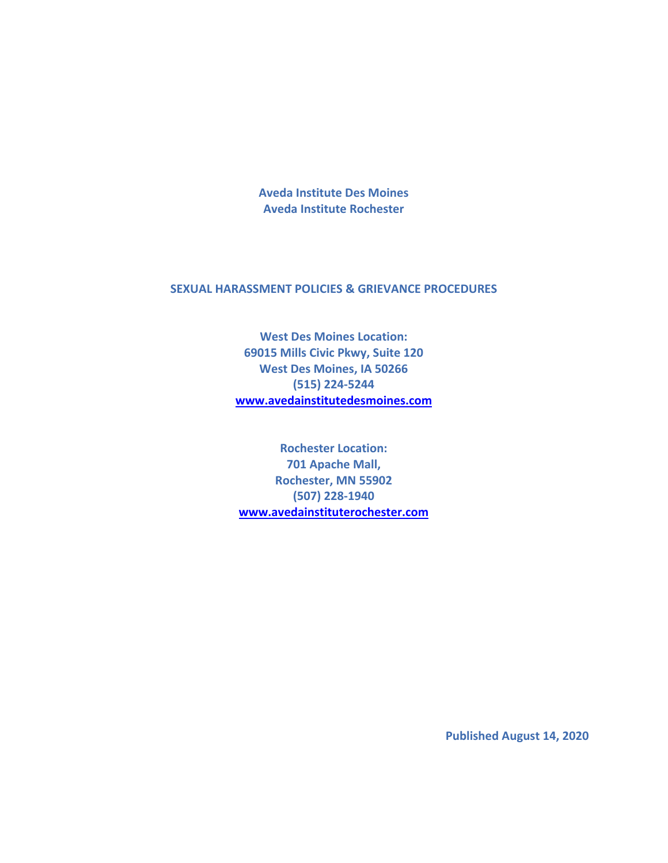**Aveda Institute Des Moines Aveda Institute Rochester**

# **SEXUAL HARASSMENT POLICIES & GRIEVANCE PROCEDURES**

**West Des Moines Location: 69015 Mills Civic Pkwy, Suite 120 West Des Moines, IA 50266 (515) 224-5244 [www.avedainstitutedesmoines.com](https://www.avedainstitutedesmoines.com/)**

**Rochester Location: 701 Apache Mall, Rochester, MN 55902 (507) 228-1940 [www.avedainstituterochester.com](https://www.avedainstituterochester.com/)**

**Published August 14, 2020**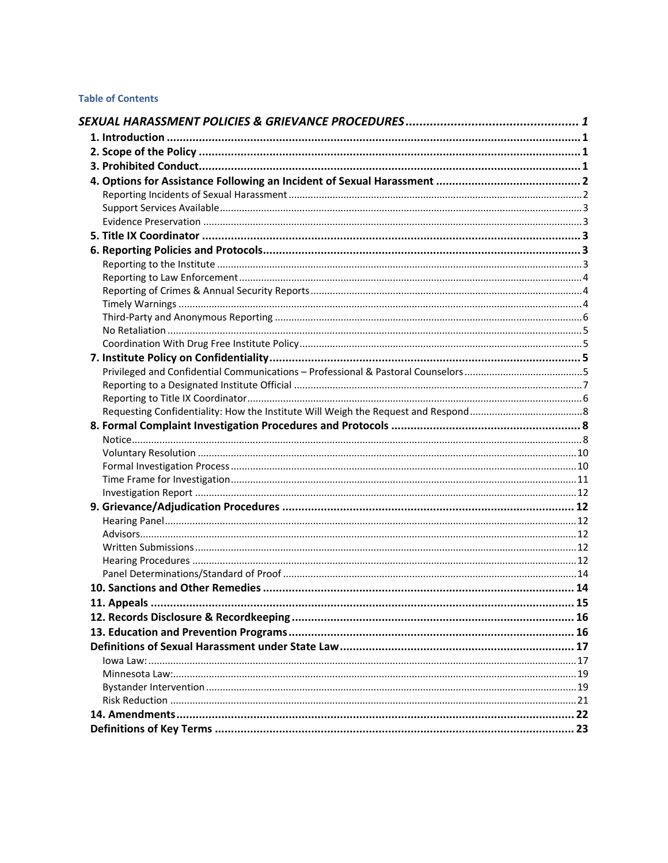# **Table of Contents**

| 11. Appeals |  |
|-------------|--|
|             |  |
|             |  |
|             |  |
|             |  |
|             |  |
|             |  |
|             |  |
|             |  |
|             |  |
|             |  |
|             |  |
|             |  |
|             |  |
|             |  |
|             |  |
|             |  |
|             |  |
|             |  |
|             |  |
|             |  |
|             |  |
|             |  |
|             |  |
|             |  |
|             |  |
|             |  |
|             |  |
|             |  |
|             |  |
|             |  |
|             |  |
|             |  |
|             |  |
|             |  |
|             |  |
|             |  |
|             |  |
|             |  |
|             |  |
|             |  |
|             |  |
|             |  |
|             |  |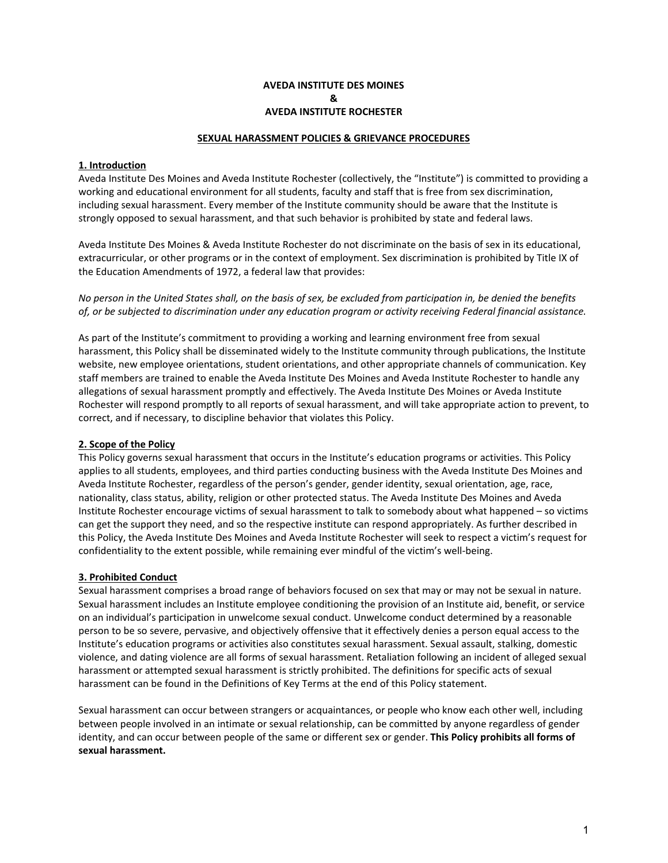## **AVEDA INSTITUTE DES MOINES & AVEDA INSTITUTE ROCHESTER**

#### **SEXUAL HARASSMENT POLICIES & GRIEVANCE PROCEDURES**

## <span id="page-2-1"></span><span id="page-2-0"></span>**1. Introduction**

Aveda Institute Des Moines and Aveda Institute Rochester (collectively, the "Institute") is committed to providing a working and educational environment for all students, faculty and staff that is free from sex discrimination, including sexual harassment. Every member of the Institute community should be aware that the Institute is strongly opposed to sexual harassment, and that such behavior is prohibited by state and federal laws.

Aveda Institute Des Moines & Aveda Institute Rochester do not discriminate on the basis of sex in its educational, extracurricular, or other programs or in the context of employment. Sex discrimination is prohibited by Title IX of the Education Amendments of 1972, a federal law that provides:

*No person in the United States shall, on the basis of sex, be excluded from participation in, be denied the benefits of, or be subjected to discrimination under any education program or activity receiving Federal financial assistance.*

As part of the Institute's commitment to providing a working and learning environment free from sexual harassment, this Policy shall be disseminated widely to the Institute community through publications, the Institute website, new employee orientations, student orientations, and other appropriate channels of communication. Key staff members are trained to enable the Aveda Institute Des Moines and Aveda Institute Rochester to handle any allegations of sexual harassment promptly and effectively. The Aveda Institute Des Moines or Aveda Institute Rochester will respond promptly to all reports of sexual harassment, and will take appropriate action to prevent, to correct, and if necessary, to discipline behavior that violates this Policy.

## <span id="page-2-2"></span>**2. Scope of the Policy**

This Policy governs sexual harassment that occurs in the Institute's education programs or activities. This Policy applies to all students, employees, and third parties conducting business with the Aveda Institute Des Moines and Aveda Institute Rochester, regardless of the person's gender, gender identity, sexual orientation, age, race, nationality, class status, ability, religion or other protected status. The Aveda Institute Des Moines and Aveda Institute Rochester encourage victims of sexual harassment to talk to somebody about what happened – so victims can get the support they need, and so the respective institute can respond appropriately. As further described in this Policy, the Aveda Institute Des Moines and Aveda Institute Rochester will seek to respect a victim's request for confidentiality to the extent possible, while remaining ever mindful of the victim's well-being.

#### <span id="page-2-3"></span>**3. Prohibited Conduct**

Sexual harassment comprises a broad range of behaviors focused on sex that may or may not be sexual in nature. Sexual harassment includes an Institute employee conditioning the provision of an Institute aid, benefit, or service on an individual's participation in unwelcome sexual conduct. Unwelcome conduct determined by a reasonable person to be so severe, pervasive, and objectively offensive that it effectively denies a person equal access to the Institute's education programs or activities also constitutes sexual harassment. Sexual assault, stalking, domestic violence, and dating violence are all forms of sexual harassment. Retaliation following an incident of alleged sexual harassment or attempted sexual harassment is strictly prohibited. The definitions for specific acts of sexual harassment can be found in the Definitions of Key Terms at the end of this Policy statement.

Sexual harassment can occur between strangers or acquaintances, or people who know each other well, including between people involved in an intimate or sexual relationship, can be committed by anyone regardless of gender identity, and can occur between people of the same or different sex or gender. **This Policy prohibits all forms of sexual harassment.**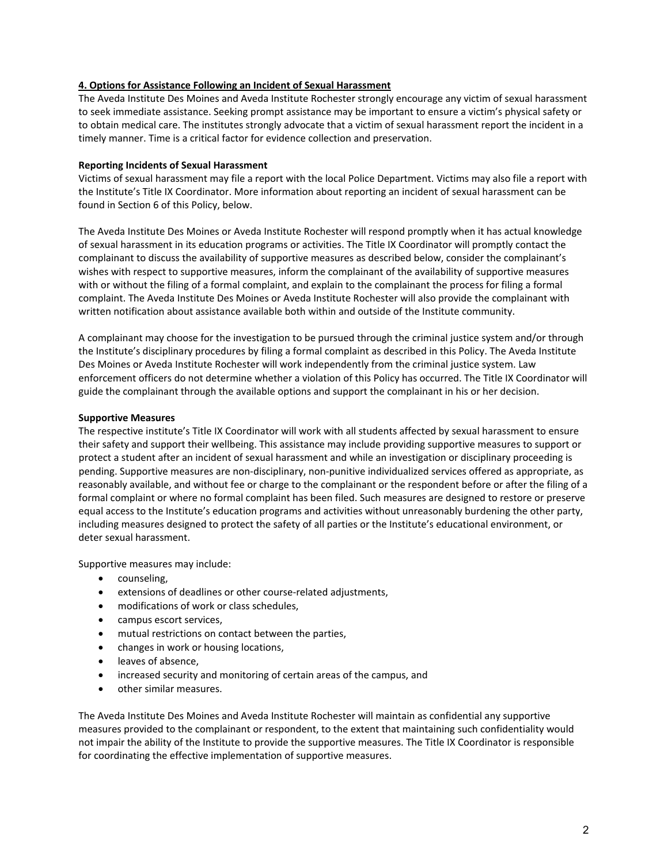## <span id="page-3-0"></span>**4. Options for Assistance Following an Incident of Sexual Harassment**

The Aveda Institute Des Moines and Aveda Institute Rochester strongly encourage any victim of sexual harassment to seek immediate assistance. Seeking prompt assistance may be important to ensure a victim's physical safety or to obtain medical care. The institutes strongly advocate that a victim of sexual harassment report the incident in a timely manner. Time is a critical factor for evidence collection and preservation.

## <span id="page-3-1"></span>**Reporting Incidents of Sexual Harassment**

Victims of sexual harassment may file a report with the local Police Department. Victims may also file a report with the Institute's Title IX Coordinator. More information about reporting an incident of sexual harassment can be found in Section 6 of this Policy, below.

The Aveda Institute Des Moines or Aveda Institute Rochester will respond promptly when it has actual knowledge of sexual harassment in its education programs or activities. The Title IX Coordinator will promptly contact the complainant to discuss the availability of supportive measures as described below, consider the complainant's wishes with respect to supportive measures, inform the complainant of the availability of supportive measures with or without the filing of a formal complaint, and explain to the complainant the process for filing a formal complaint. The Aveda Institute Des Moines or Aveda Institute Rochester will also provide the complainant with written notification about assistance available both within and outside of the Institute community.

A complainant may choose for the investigation to be pursued through the criminal justice system and/or through the Institute's disciplinary procedures by filing a formal complaint as described in this Policy. The Aveda Institute Des Moines or Aveda Institute Rochester will work independently from the criminal justice system. Law enforcement officers do not determine whether a violation of this Policy has occurred. The Title IX Coordinator will guide the complainant through the available options and support the complainant in his or her decision.

#### **Supportive Measures**

The respective institute's Title IX Coordinator will work with all students affected by sexual harassment to ensure their safety and support their wellbeing. This assistance may include providing supportive measures to support or protect a student after an incident of sexual harassment and while an investigation or disciplinary proceeding is pending. Supportive measures are non-disciplinary, non-punitive individualized services offered as appropriate, as reasonably available, and without fee or charge to the complainant or the respondent before or after the filing of a formal complaint or where no formal complaint has been filed. Such measures are designed to restore or preserve equal access to the Institute's education programs and activities without unreasonably burdening the other party, including measures designed to protect the safety of all parties or the Institute's educational environment, or deter sexual harassment.

Supportive measures may include:

- counseling,
- extensions of deadlines or other course-related adjustments,
- modifications of work or class schedules,
- campus escort services,
- mutual restrictions on contact between the parties,
- changes in work or housing locations,
- leaves of absence,
- increased security and monitoring of certain areas of the campus, and
- other similar measures.

The Aveda Institute Des Moines and Aveda Institute Rochester will maintain as confidential any supportive measures provided to the complainant or respondent, to the extent that maintaining such confidentiality would not impair the ability of the Institute to provide the supportive measures. The Title IX Coordinator is responsible for coordinating the effective implementation of supportive measures.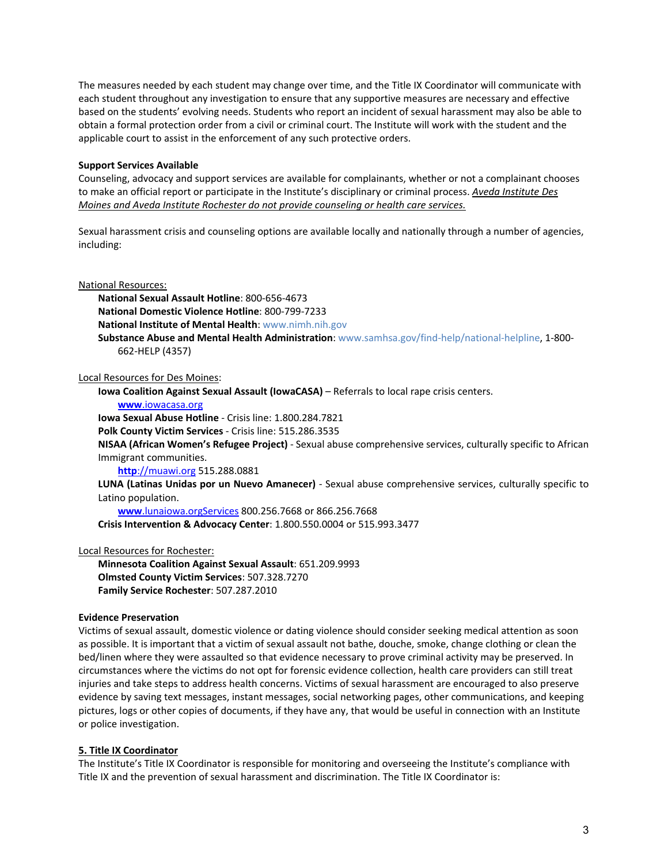The measures needed by each student may change over time, and the Title IX Coordinator will communicate with each student throughout any investigation to ensure that any supportive measures are necessary and effective based on the students' evolving needs. Students who report an incident of sexual harassment may also be able to obtain a formal protection order from a civil or criminal court. The Institute will work with the student and the applicable court to assist in the enforcement of any such protective orders.

## <span id="page-4-0"></span>**Support Services Available**

Counseling, advocacy and support services are available for complainants, whether or not a complainant chooses to make an official report or participate in the Institute's disciplinary or criminal process. *Aveda Institute Des Moines and Aveda Institute Rochester do not provide counseling or health care services.* 

Sexual harassment crisis and counseling options are available locally and nationally through a number of agencies, including:

#### National Resources:

**National Sexual Assault Hotline**: 800-656-4673 **National Domestic Violence Hotline**: 800-799-7233 **National Institute of Mental Health**: [www.nimh.nih.gov](http://www.nimh.nih.gov/) **Substance Abuse and Mental Health Administration**: [www.samhsa.gov/find-help/national-helpline,](https://www.samhsa.gov/find-help/national-helpline) 1-800- 662-HELP (4357)

Local Resources for Des Moines:

**Iowa Coalition Against Sexual Assault (IowaCASA)** – Referrals to local rape crisis centers.

#### **www**[.iowacasa.org](http://www.iowacasa.org/)

**Iowa Sexual Abuse Hotline** - Crisis line: 1.800.284.7821

**Polk County Victim Services** - Crisis line: 515.286.3535

**NISAA (African Women's Refugee Project)** - Sexual abuse comprehensive services, culturally specific to African Immigrant communities.

**http**[://muawi.org](http://muawi.org/) 515.288.0881

**LUNA (Latinas Unidas por un Nuevo Amanecer)** - Sexual abuse comprehensive services, culturally specific to Latino population.

**www**[.lunaiowa.orgServices](http://www.lunaiowa.orgservices/) 800.256.7668 or 866.256.7668

**Crisis Intervention & Advocacy Center**: 1.800.550.0004 or 515.993.3477

#### Local Resources for Rochester:

**Minnesota Coalition Against Sexual Assault**: 651.209.9993 **Olmsted County Victim Services**: 507.328.7270 **Family Service Rochester**: 507.287.2010

#### <span id="page-4-1"></span>**Evidence Preservation**

Victims of sexual assault, domestic violence or dating violence should consider seeking medical attention as soon as possible. It is important that a victim of sexual assault not bathe, douche, smoke, change clothing or clean the bed/linen where they were assaulted so that evidence necessary to prove criminal activity may be preserved. In circumstances where the victims do not opt for forensic evidence collection, health care providers can still treat injuries and take steps to address health concerns. Victims of sexual harassment are encouraged to also preserve evidence by saving text messages, instant messages, social networking pages, other communications, and keeping pictures, logs or other copies of documents, if they have any, that would be useful in connection with an Institute or police investigation.

#### <span id="page-4-2"></span>**5. Title IX Coordinator**

The Institute's Title IX Coordinator is responsible for monitoring and overseeing the Institute's compliance with Title IX and the prevention of sexual harassment and discrimination. The Title IX Coordinator is: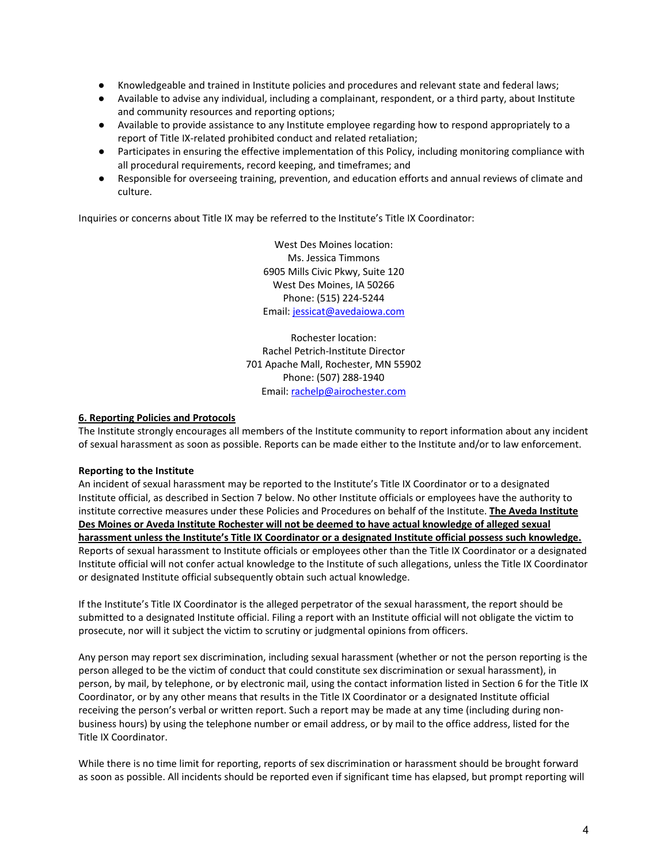- Knowledgeable and trained in Institute policies and procedures and relevant state and federal laws;
- Available to advise any individual, including a complainant, respondent, or a third party, about Institute and community resources and reporting options;
- Available to provide assistance to any Institute employee regarding how to respond appropriately to a report of Title IX-related prohibited conduct and related retaliation;
- Participates in ensuring the effective implementation of this Policy, including monitoring compliance with all procedural requirements, record keeping, and timeframes; and
- Responsible for overseeing training, prevention, and education efforts and annual reviews of climate and culture.

Inquiries or concerns about Title IX may be referred to the Institute's Title IX Coordinator:

West Des Moines location: Ms. Jessica Timmons 6905 Mills Civic Pkwy, Suite 120 West Des Moines, IA 50266 Phone: (515) 224-5244 Email[: jessicat@avedaiowa.com](mailto:jessicat@avedaiowa.com)

Rochester location: Rachel Petrich-Institute Director 701 Apache Mall, Rochester, MN 55902 Phone: (507) 288-1940 Email: [rachelp@airochester.com](mailto:rachelp@airochester.com)

## <span id="page-5-0"></span>**6. Reporting Policies and Protocols**

The Institute strongly encourages all members of the Institute community to report information about any incident of sexual harassment as soon as possible. Reports can be made either to the Institute and/or to law enforcement.

#### <span id="page-5-1"></span>**Reporting to the Institute**

An incident of sexual harassment may be reported to the Institute's Title IX Coordinator or to a designated Institute official, as described in Section 7 below. No other Institute officials or employees have the authority to institute corrective measures under these Policies and Procedures on behalf of the Institute. **The Aveda Institute Des Moines or Aveda Institute Rochester will not be deemed to have actual knowledge of alleged sexual harassment unless the Institute's Title IX Coordinator or a designated Institute official possess such knowledge.** Reports of sexual harassment to Institute officials or employees other than the Title IX Coordinator or a designated Institute official will not confer actual knowledge to the Institute of such allegations, unless the Title IX Coordinator or designated Institute official subsequently obtain such actual knowledge.

If the Institute's Title IX Coordinator is the alleged perpetrator of the sexual harassment, the report should be submitted to a designated Institute official. Filing a report with an Institute official will not obligate the victim to prosecute, nor will it subject the victim to scrutiny or judgmental opinions from officers.

Any person may report sex discrimination, including sexual harassment (whether or not the person reporting is the person alleged to be the victim of conduct that could constitute sex discrimination or sexual harassment), in person, by mail, by telephone, or by electronic mail, using the contact information listed in Section 6 for the Title IX Coordinator, or by any other means that results in the Title IX Coordinator or a designated Institute official receiving the person's verbal or written report. Such a report may be made at any time (including during nonbusiness hours) by using the telephone number or email address, or by mail to the office address, listed for the Title IX Coordinator.

While there is no time limit for reporting, reports of sex discrimination or harassment should be brought forward as soon as possible. All incidents should be reported even if significant time has elapsed, but prompt reporting will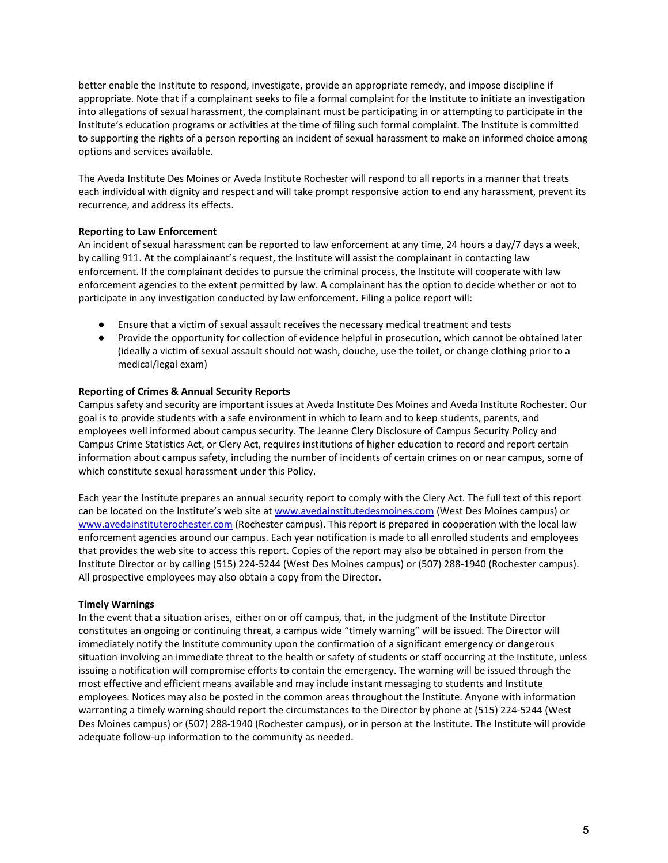better enable the Institute to respond, investigate, provide an appropriate remedy, and impose discipline if appropriate. Note that if a complainant seeks to file a formal complaint for the Institute to initiate an investigation into allegations of sexual harassment, the complainant must be participating in or attempting to participate in the Institute's education programs or activities at the time of filing such formal complaint. The Institute is committed to supporting the rights of a person reporting an incident of sexual harassment to make an informed choice among options and services available.

The Aveda Institute Des Moines or Aveda Institute Rochester will respond to all reports in a manner that treats each individual with dignity and respect and will take prompt responsive action to end any harassment, prevent its recurrence, and address its effects.

## <span id="page-6-0"></span>**Reporting to Law Enforcement**

An incident of sexual harassment can be reported to law enforcement at any time, 24 hours a day/7 days a week, by calling 911. At the complainant's request, the Institute will assist the complainant in contacting law enforcement. If the complainant decides to pursue the criminal process, the Institute will cooperate with law enforcement agencies to the extent permitted by law. A complainant has the option to decide whether or not to participate in any investigation conducted by law enforcement. Filing a police report will:

- Ensure that a victim of sexual assault receives the necessary medical treatment and tests
- Provide the opportunity for collection of evidence helpful in prosecution, which cannot be obtained later (ideally a victim of sexual assault should not wash, douche, use the toilet, or change clothing prior to a medical/legal exam)

## <span id="page-6-1"></span>**Reporting of Crimes & Annual Security Reports**

Campus safety and security are important issues at Aveda Institute Des Moines and Aveda Institute Rochester. Our goal is to provide students with a safe environment in which to learn and to keep students, parents, and employees well informed about campus security. The Jeanne Clery Disclosure of Campus Security Policy and Campus Crime Statistics Act, or Clery Act, requires institutions of higher education to record and report certain information about campus safety, including the number of incidents of certain crimes on or near campus, some of which constitute sexual harassment under this Policy.

Each year the Institute prepares an annual security report to comply with the Clery Act. The full text of this report can be located on the Institute's web site at [www.avedainstitutedesmoines.com](https://www.avedainstitutedesmoines.com/) (West Des Moines campus) or [www.avedainstituterochester.com](https://www.avedainstituterochester.com/) (Rochester campus). This report is prepared in cooperation with the local law enforcement agencies around our campus. Each year notification is made to all enrolled students and employees that provides the web site to access this report. Copies of the report may also be obtained in person from the Institute Director or by calling (515) 224-5244 (West Des Moines campus) or (507) 288-1940 (Rochester campus). All prospective employees may also obtain a copy from the Director.

#### <span id="page-6-2"></span>**Timely Warnings**

In the event that a situation arises, either on or off campus, that, in the judgment of the Institute Director constitutes an ongoing or continuing threat, a campus wide "timely warning" will be issued. The Director will immediately notify the Institute community upon the confirmation of a significant emergency or dangerous situation involving an immediate threat to the health or safety of students or staff occurring at the Institute, unless issuing a notification will compromise efforts to contain the emergency. The warning will be issued through the most effective and efficient means available and may include instant messaging to students and Institute employees. Notices may also be posted in the common areas throughout the Institute. Anyone with information warranting a timely warning should report the circumstances to the Director by phone at (515) 224-5244 (West Des Moines campus) or (507) 288-1940 (Rochester campus), or in person at the Institute. The Institute will provide adequate follow-up information to the community as needed.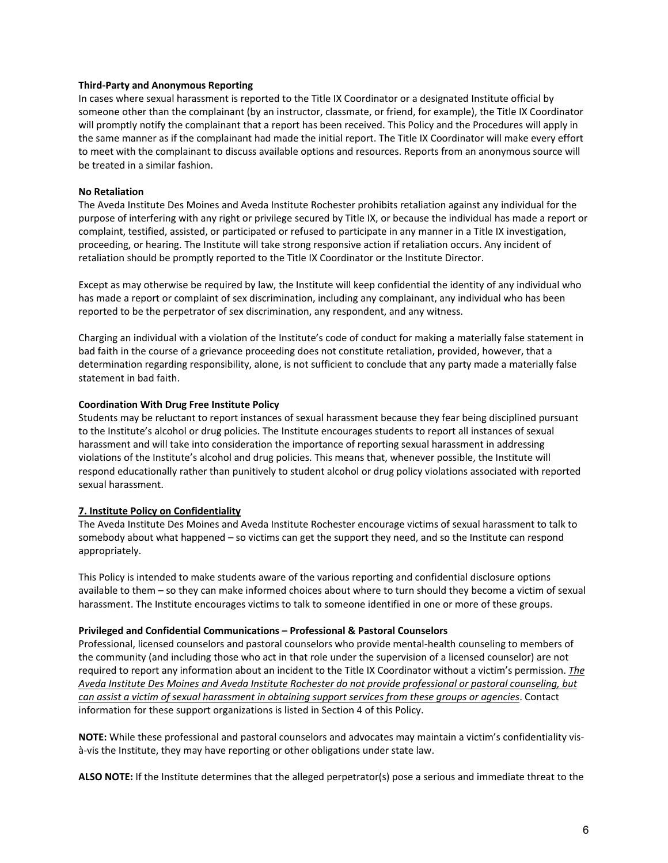#### <span id="page-7-0"></span>**Third-Party and Anonymous Reporting**

In cases where sexual harassment is reported to the Title IX Coordinator or a designated Institute official by someone other than the complainant (by an instructor, classmate, or friend, for example), the Title IX Coordinator will promptly notify the complainant that a report has been received. This Policy and the Procedures will apply in the same manner as if the complainant had made the initial report. The Title IX Coordinator will make every effort to meet with the complainant to discuss available options and resources. Reports from an anonymous source will be treated in a similar fashion.

## <span id="page-7-1"></span>**No Retaliation**

The Aveda Institute Des Moines and Aveda Institute Rochester prohibits retaliation against any individual for the purpose of interfering with any right or privilege secured by Title IX, or because the individual has made a report or complaint, testified, assisted, or participated or refused to participate in any manner in a Title IX investigation, proceeding, or hearing. The Institute will take strong responsive action if retaliation occurs. Any incident of retaliation should be promptly reported to the Title IX Coordinator or the Institute Director.

Except as may otherwise be required by law, the Institute will keep confidential the identity of any individual who has made a report or complaint of sex discrimination, including any complainant, any individual who has been reported to be the perpetrator of sex discrimination, any respondent, and any witness.

Charging an individual with a violation of the Institute's code of conduct for making a materially false statement in bad faith in the course of a grievance proceeding does not constitute retaliation, provided, however, that a determination regarding responsibility, alone, is not sufficient to conclude that any party made a materially false statement in bad faith.

## <span id="page-7-2"></span>**Coordination With Drug Free Institute Policy**

Students may be reluctant to report instances of sexual harassment because they fear being disciplined pursuant to the Institute's alcohol or drug policies. The Institute encourages students to report all instances of sexual harassment and will take into consideration the importance of reporting sexual harassment in addressing violations of the Institute's alcohol and drug policies. This means that, whenever possible, the Institute will respond educationally rather than punitively to student alcohol or drug policy violations associated with reported sexual harassment.

## <span id="page-7-3"></span>**7. Institute Policy on Confidentiality**

The Aveda Institute Des Moines and Aveda Institute Rochester encourage victims of sexual harassment to talk to somebody about what happened – so victims can get the support they need, and so the Institute can respond appropriately.

This Policy is intended to make students aware of the various reporting and confidential disclosure options available to them – so they can make informed choices about where to turn should they become a victim of sexual harassment. The Institute encourages victims to talk to someone identified in one or more of these groups.

#### <span id="page-7-4"></span>**Privileged and Confidential Communications – Professional & Pastoral Counselors**

Professional, licensed counselors and pastoral counselors who provide mental-health counseling to members of the community (and including those who act in that role under the supervision of a licensed counselor) are not required to report any information about an incident to the Title IX Coordinator without a victim's permission. *The Aveda Institute Des Moines and Aveda Institute Rochester do not provide professional or pastoral counseling, but can assist a victim of sexual harassment in obtaining support services from these groups or agencies*. Contact information for these support organizations is listed in Section 4 of this Policy.

**NOTE:** While these professional and pastoral counselors and advocates may maintain a victim's confidentiality visà-vis the Institute, they may have reporting or other obligations under state law.

**ALSO NOTE:** If the Institute determines that the alleged perpetrator(s) pose a serious and immediate threat to the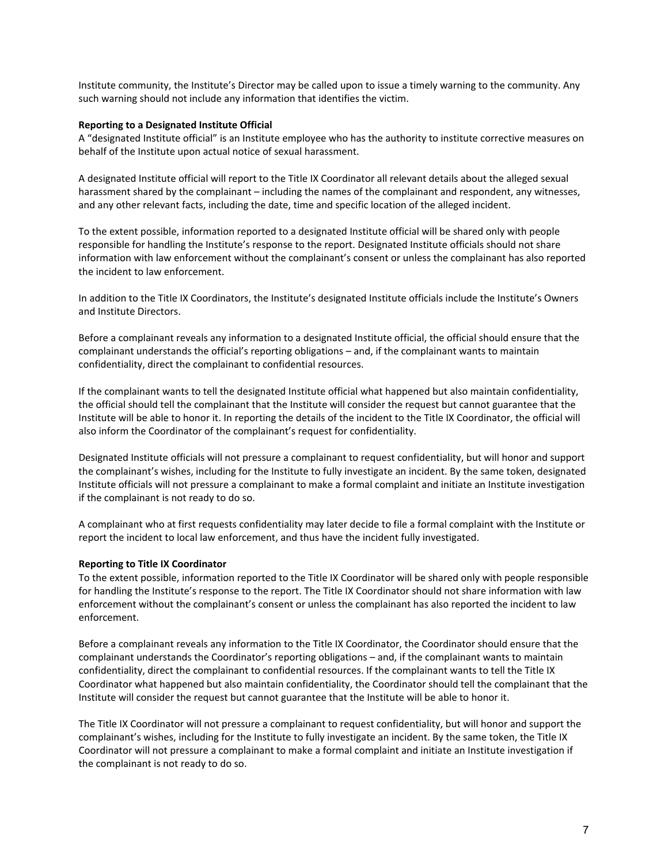Institute community, the Institute's Director may be called upon to issue a timely warning to the community. Any such warning should not include any information that identifies the victim.

#### <span id="page-8-0"></span>**Reporting to a Designated Institute Official**

A "designated Institute official" is an Institute employee who has the authority to institute corrective measures on behalf of the Institute upon actual notice of sexual harassment.

A designated Institute official will report to the Title IX Coordinator all relevant details about the alleged sexual harassment shared by the complainant – including the names of the complainant and respondent, any witnesses, and any other relevant facts, including the date, time and specific location of the alleged incident.

To the extent possible, information reported to a designated Institute official will be shared only with people responsible for handling the Institute's response to the report. Designated Institute officials should not share information with law enforcement without the complainant's consent or unless the complainant has also reported the incident to law enforcement.

In addition to the Title IX Coordinators, the Institute's designated Institute officials include the Institute's Owners and Institute Directors.

Before a complainant reveals any information to a designated Institute official, the official should ensure that the complainant understands the official's reporting obligations – and, if the complainant wants to maintain confidentiality, direct the complainant to confidential resources.

If the complainant wants to tell the designated Institute official what happened but also maintain confidentiality, the official should tell the complainant that the Institute will consider the request but cannot guarantee that the Institute will be able to honor it. In reporting the details of the incident to the Title IX Coordinator, the official will also inform the Coordinator of the complainant's request for confidentiality.

Designated Institute officials will not pressure a complainant to request confidentiality, but will honor and support the complainant's wishes, including for the Institute to fully investigate an incident. By the same token, designated Institute officials will not pressure a complainant to make a formal complaint and initiate an Institute investigation if the complainant is not ready to do so.

A complainant who at first requests confidentiality may later decide to file a formal complaint with the Institute or report the incident to local law enforcement, and thus have the incident fully investigated.

#### <span id="page-8-1"></span>**Reporting to Title IX Coordinator**

To the extent possible, information reported to the Title IX Coordinator will be shared only with people responsible for handling the Institute's response to the report. The Title IX Coordinator should not share information with law enforcement without the complainant's consent or unless the complainant has also reported the incident to law enforcement.

Before a complainant reveals any information to the Title IX Coordinator, the Coordinator should ensure that the complainant understands the Coordinator's reporting obligations – and, if the complainant wants to maintain confidentiality, direct the complainant to confidential resources. If the complainant wants to tell the Title IX Coordinator what happened but also maintain confidentiality, the Coordinator should tell the complainant that the Institute will consider the request but cannot guarantee that the Institute will be able to honor it.

The Title IX Coordinator will not pressure a complainant to request confidentiality, but will honor and support the complainant's wishes, including for the Institute to fully investigate an incident. By the same token, the Title IX Coordinator will not pressure a complainant to make a formal complaint and initiate an Institute investigation if the complainant is not ready to do so.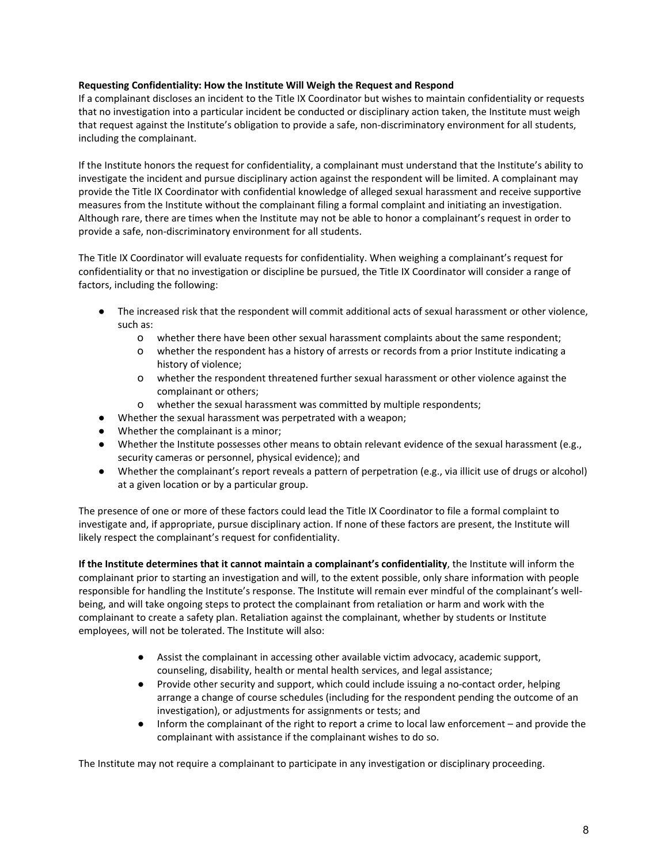## <span id="page-9-0"></span>**Requesting Confidentiality: How the Institute Will Weigh the Request and Respond**

If a complainant discloses an incident to the Title IX Coordinator but wishes to maintain confidentiality or requests that no investigation into a particular incident be conducted or disciplinary action taken, the Institute must weigh that request against the Institute's obligation to provide a safe, non-discriminatory environment for all students, including the complainant.

If the Institute honors the request for confidentiality, a complainant must understand that the Institute's ability to investigate the incident and pursue disciplinary action against the respondent will be limited. A complainant may provide the Title IX Coordinator with confidential knowledge of alleged sexual harassment and receive supportive measures from the Institute without the complainant filing a formal complaint and initiating an investigation. Although rare, there are times when the Institute may not be able to honor a complainant's request in order to provide a safe, non-discriminatory environment for all students.

The Title IX Coordinator will evaluate requests for confidentiality. When weighing a complainant's request for confidentiality or that no investigation or discipline be pursued, the Title IX Coordinator will consider a range of factors, including the following:

- The increased risk that the respondent will commit additional acts of sexual harassment or other violence, such as:
	- o whether there have been other sexual harassment complaints about the same respondent;
	- o whether the respondent has a history of arrests or records from a prior Institute indicating a history of violence;
	- o whether the respondent threatened further sexual harassment or other violence against the complainant or others;
	- o whether the sexual harassment was committed by multiple respondents;
- Whether the sexual harassment was perpetrated with a weapon;
- Whether the complainant is a minor;
- Whether the Institute possesses other means to obtain relevant evidence of the sexual harassment (e.g., security cameras or personnel, physical evidence); and
- Whether the complainant's report reveals a pattern of perpetration (e.g., via illicit use of drugs or alcohol) at a given location or by a particular group.

The presence of one or more of these factors could lead the Title IX Coordinator to file a formal complaint to investigate and, if appropriate, pursue disciplinary action. If none of these factors are present, the Institute will likely respect the complainant's request for confidentiality.

**If the Institute determines that it cannot maintain a complainant's confidentiality**, the Institute will inform the complainant prior to starting an investigation and will, to the extent possible, only share information with people responsible for handling the Institute's response. The Institute will remain ever mindful of the complainant's wellbeing, and will take ongoing steps to protect the complainant from retaliation or harm and work with the complainant to create a safety plan. Retaliation against the complainant, whether by students or Institute employees, will not be tolerated. The Institute will also:

- Assist the complainant in accessing other available victim advocacy, academic support, counseling, disability, health or mental health services, and legal assistance;
- Provide other security and support, which could include issuing a no-contact order, helping arrange a change of course schedules (including for the respondent pending the outcome of an investigation), or adjustments for assignments or tests; and
- Inform the complainant of the right to report a crime to local law enforcement and provide the complainant with assistance if the complainant wishes to do so.

The Institute may not require a complainant to participate in any investigation or disciplinary proceeding.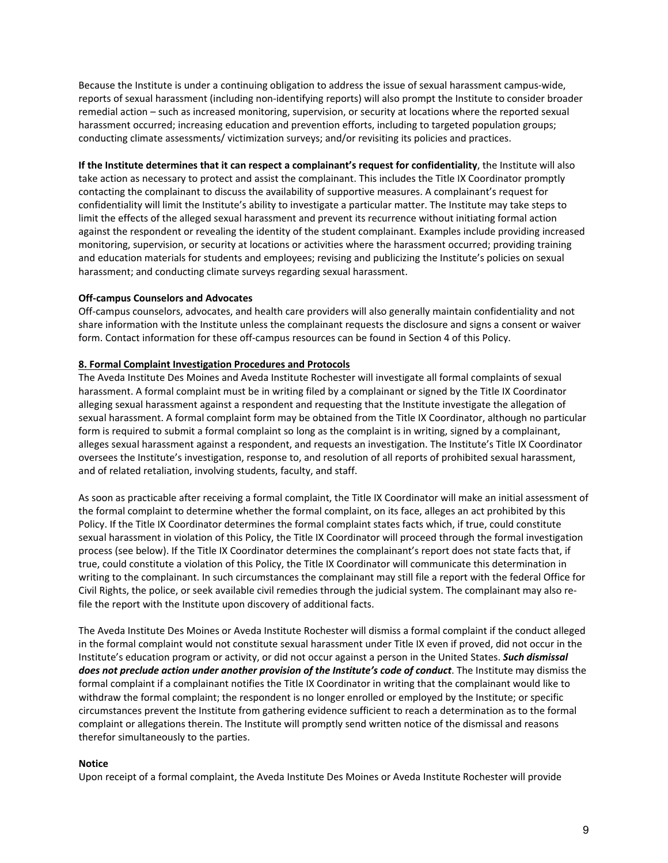Because the Institute is under a continuing obligation to address the issue of sexual harassment campus-wide, reports of sexual harassment (including non-identifying reports) will also prompt the Institute to consider broader remedial action – such as increased monitoring, supervision, or security at locations where the reported sexual harassment occurred; increasing education and prevention efforts, including to targeted population groups; conducting climate assessments/ victimization surveys; and/or revisiting its policies and practices.

**If the Institute determines that it can respect a complainant's request for confidentiality**, the Institute will also take action as necessary to protect and assist the complainant. This includes the Title IX Coordinator promptly contacting the complainant to discuss the availability of supportive measures. A complainant's request for confidentiality will limit the Institute's ability to investigate a particular matter. The Institute may take steps to limit the effects of the alleged sexual harassment and prevent its recurrence without initiating formal action against the respondent or revealing the identity of the student complainant. Examples include providing increased monitoring, supervision, or security at locations or activities where the harassment occurred; providing training and education materials for students and employees; revising and publicizing the Institute's policies on sexual harassment; and conducting climate surveys regarding sexual harassment.

## **Off-campus Counselors and Advocates**

Off-campus counselors, advocates, and health care providers will also generally maintain confidentiality and not share information with the Institute unless the complainant requests the disclosure and signs a consent or waiver form. Contact information for these off-campus resources can be found in Section 4 of this Policy.

## <span id="page-10-0"></span>**8. Formal Complaint Investigation Procedures and Protocols**

The Aveda Institute Des Moines and Aveda Institute Rochester will investigate all formal complaints of sexual harassment. A formal complaint must be in writing filed by a complainant or signed by the Title IX Coordinator alleging sexual harassment against a respondent and requesting that the Institute investigate the allegation of sexual harassment. A formal complaint form may be obtained from the Title IX Coordinator, although no particular form is required to submit a formal complaint so long as the complaint is in writing, signed by a complainant, alleges sexual harassment against a respondent, and requests an investigation. The Institute's Title IX Coordinator oversees the Institute's investigation, response to, and resolution of all reports of prohibited sexual harassment, and of related retaliation, involving students, faculty, and staff.

As soon as practicable after receiving a formal complaint, the Title IX Coordinator will make an initial assessment of the formal complaint to determine whether the formal complaint, on its face, alleges an act prohibited by this Policy. If the Title IX Coordinator determines the formal complaint states facts which, if true, could constitute sexual harassment in violation of this Policy, the Title IX Coordinator will proceed through the formal investigation process (see below). If the Title IX Coordinator determines the complainant's report does not state facts that, if true, could constitute a violation of this Policy, the Title IX Coordinator will communicate this determination in writing to the complainant. In such circumstances the complainant may still file a report with the federal Office for Civil Rights, the police, or seek available civil remedies through the judicial system. The complainant may also refile the report with the Institute upon discovery of additional facts.

The Aveda Institute Des Moines or Aveda Institute Rochester will dismiss a formal complaint if the conduct alleged in the formal complaint would not constitute sexual harassment under Title IX even if proved, did not occur in the Institute's education program or activity, or did not occur against a person in the United States. *Such dismissal does not preclude action under another provision of the Institute's code of conduct*. The Institute may dismiss the formal complaint if a complainant notifies the Title IX Coordinator in writing that the complainant would like to withdraw the formal complaint; the respondent is no longer enrolled or employed by the Institute; or specific circumstances prevent the Institute from gathering evidence sufficient to reach a determination as to the formal complaint or allegations therein. The Institute will promptly send written notice of the dismissal and reasons therefor simultaneously to the parties.

#### <span id="page-10-1"></span>**Notice**

Upon receipt of a formal complaint, the Aveda Institute Des Moines or Aveda Institute Rochester will provide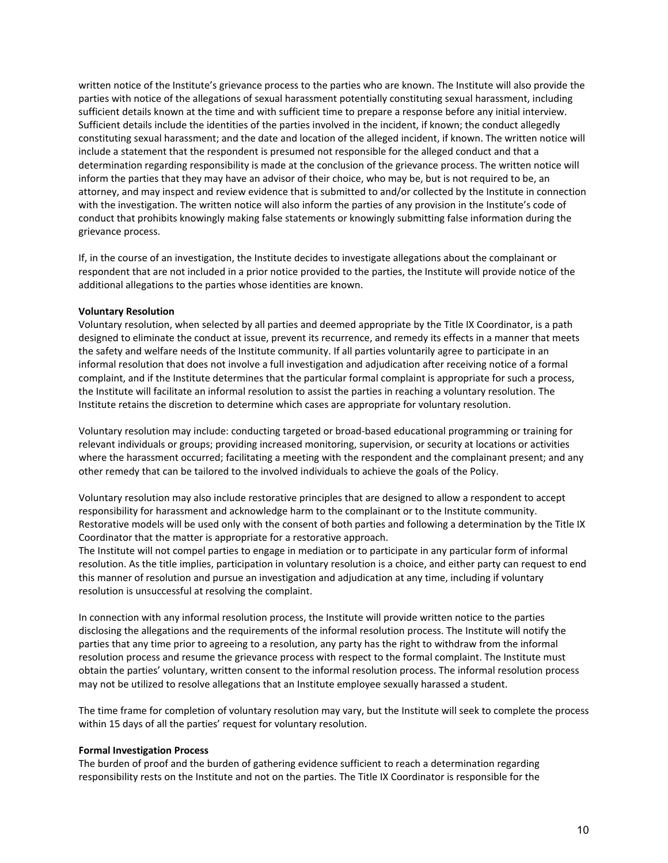written notice of the Institute's grievance process to the parties who are known. The Institute will also provide the parties with notice of the allegations of sexual harassment potentially constituting sexual harassment, including sufficient details known at the time and with sufficient time to prepare a response before any initial interview. Sufficient details include the identities of the parties involved in the incident, if known; the conduct allegedly constituting sexual harassment; and the date and location of the alleged incident, if known. The written notice will include a statement that the respondent is presumed not responsible for the alleged conduct and that a determination regarding responsibility is made at the conclusion of the grievance process. The written notice will inform the parties that they may have an advisor of their choice, who may be, but is not required to be, an attorney, and may inspect and review evidence that is submitted to and/or collected by the Institute in connection with the investigation. The written notice will also inform the parties of any provision in the Institute's code of conduct that prohibits knowingly making false statements or knowingly submitting false information during the grievance process.

If, in the course of an investigation, the Institute decides to investigate allegations about the complainant or respondent that are not included in a prior notice provided to the parties, the Institute will provide notice of the additional allegations to the parties whose identities are known.

#### <span id="page-11-0"></span>**Voluntary Resolution**

Voluntary resolution, when selected by all parties and deemed appropriate by the Title IX Coordinator, is a path designed to eliminate the conduct at issue, prevent its recurrence, and remedy its effects in a manner that meets the safety and welfare needs of the Institute community. If all parties voluntarily agree to participate in an informal resolution that does not involve a full investigation and adjudication after receiving notice of a formal complaint, and if the Institute determines that the particular formal complaint is appropriate for such a process, the Institute will facilitate an informal resolution to assist the parties in reaching a voluntary resolution. The Institute retains the discretion to determine which cases are appropriate for voluntary resolution.

Voluntary resolution may include: conducting targeted or broad-based educational programming or training for relevant individuals or groups; providing increased monitoring, supervision, or security at locations or activities where the harassment occurred; facilitating a meeting with the respondent and the complainant present; and any other remedy that can be tailored to the involved individuals to achieve the goals of the Policy.

Voluntary resolution may also include restorative principles that are designed to allow a respondent to accept responsibility for harassment and acknowledge harm to the complainant or to the Institute community. Restorative models will be used only with the consent of both parties and following a determination by the Title IX Coordinator that the matter is appropriate for a restorative approach.

The Institute will not compel parties to engage in mediation or to participate in any particular form of informal resolution. As the title implies, participation in voluntary resolution is a choice, and either party can request to end this manner of resolution and pursue an investigation and adjudication at any time, including if voluntary resolution is unsuccessful at resolving the complaint.

In connection with any informal resolution process, the Institute will provide written notice to the parties disclosing the allegations and the requirements of the informal resolution process. The Institute will notify the parties that any time prior to agreeing to a resolution, any party has the right to withdraw from the informal resolution process and resume the grievance process with respect to the formal complaint. The Institute must obtain the parties' voluntary, written consent to the informal resolution process. The informal resolution process may not be utilized to resolve allegations that an Institute employee sexually harassed a student.

The time frame for completion of voluntary resolution may vary, but the Institute will seek to complete the process within 15 days of all the parties' request for voluntary resolution.

#### <span id="page-11-1"></span>**Formal Investigation Process**

The burden of proof and the burden of gathering evidence sufficient to reach a determination regarding responsibility rests on the Institute and not on the parties. The Title IX Coordinator is responsible for the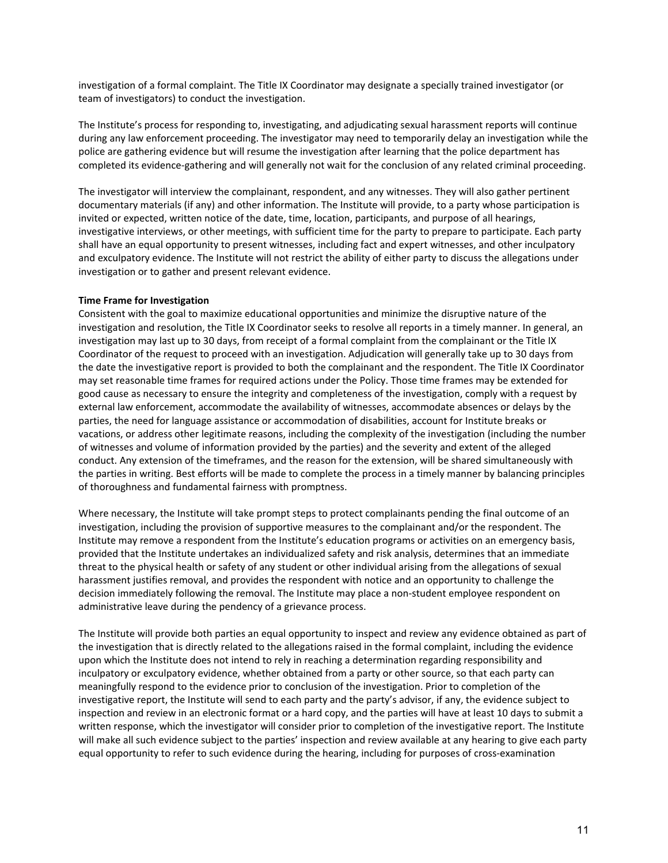investigation of a formal complaint. The Title IX Coordinator may designate a specially trained investigator (or team of investigators) to conduct the investigation.

The Institute's process for responding to, investigating, and adjudicating sexual harassment reports will continue during any law enforcement proceeding. The investigator may need to temporarily delay an investigation while the police are gathering evidence but will resume the investigation after learning that the police department has completed its evidence-gathering and will generally not wait for the conclusion of any related criminal proceeding.

The investigator will interview the complainant, respondent, and any witnesses. They will also gather pertinent documentary materials (if any) and other information. The Institute will provide, to a party whose participation is invited or expected, written notice of the date, time, location, participants, and purpose of all hearings, investigative interviews, or other meetings, with sufficient time for the party to prepare to participate. Each party shall have an equal opportunity to present witnesses, including fact and expert witnesses, and other inculpatory and exculpatory evidence. The Institute will not restrict the ability of either party to discuss the allegations under investigation or to gather and present relevant evidence.

## <span id="page-12-0"></span>**Time Frame for Investigation**

Consistent with the goal to maximize educational opportunities and minimize the disruptive nature of the investigation and resolution, the Title IX Coordinator seeks to resolve all reports in a timely manner. In general, an investigation may last up to 30 days, from receipt of a formal complaint from the complainant or the Title IX Coordinator of the request to proceed with an investigation. Adjudication will generally take up to 30 days from the date the investigative report is provided to both the complainant and the respondent. The Title IX Coordinator may set reasonable time frames for required actions under the Policy. Those time frames may be extended for good cause as necessary to ensure the integrity and completeness of the investigation, comply with a request by external law enforcement, accommodate the availability of witnesses, accommodate absences or delays by the parties, the need for language assistance or accommodation of disabilities, account for Institute breaks or vacations, or address other legitimate reasons, including the complexity of the investigation (including the number of witnesses and volume of information provided by the parties) and the severity and extent of the alleged conduct. Any extension of the timeframes, and the reason for the extension, will be shared simultaneously with the parties in writing. Best efforts will be made to complete the process in a timely manner by balancing principles of thoroughness and fundamental fairness with promptness.

Where necessary, the Institute will take prompt steps to protect complainants pending the final outcome of an investigation, including the provision of supportive measures to the complainant and/or the respondent. The Institute may remove a respondent from the Institute's education programs or activities on an emergency basis, provided that the Institute undertakes an individualized safety and risk analysis, determines that an immediate threat to the physical health or safety of any student or other individual arising from the allegations of sexual harassment justifies removal, and provides the respondent with notice and an opportunity to challenge the decision immediately following the removal. The Institute may place a non-student employee respondent on administrative leave during the pendency of a grievance process.

The Institute will provide both parties an equal opportunity to inspect and review any evidence obtained as part of the investigation that is directly related to the allegations raised in the formal complaint, including the evidence upon which the Institute does not intend to rely in reaching a determination regarding responsibility and inculpatory or exculpatory evidence, whether obtained from a party or other source, so that each party can meaningfully respond to the evidence prior to conclusion of the investigation. Prior to completion of the investigative report, the Institute will send to each party and the party's advisor, if any, the evidence subject to inspection and review in an electronic format or a hard copy, and the parties will have at least 10 days to submit a written response, which the investigator will consider prior to completion of the investigative report. The Institute will make all such evidence subject to the parties' inspection and review available at any hearing to give each party equal opportunity to refer to such evidence during the hearing, including for purposes of cross-examination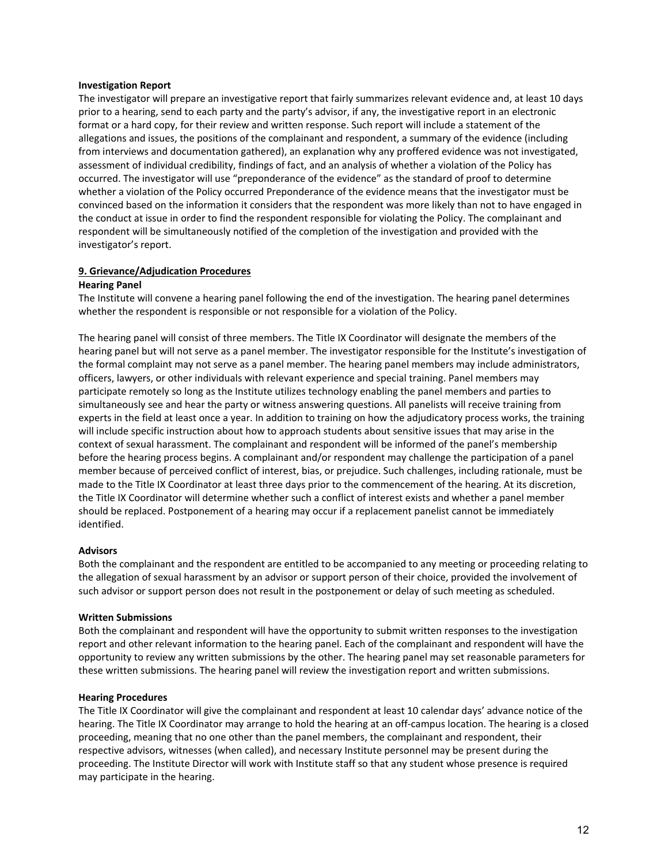#### <span id="page-13-0"></span>**Investigation Report**

The investigator will prepare an investigative report that fairly summarizes relevant evidence and, at least 10 days prior to a hearing, send to each party and the party's advisor, if any, the investigative report in an electronic format or a hard copy, for their review and written response. Such report will include a statement of the allegations and issues, the positions of the complainant and respondent, a summary of the evidence (including from interviews and documentation gathered), an explanation why any proffered evidence was not investigated, assessment of individual credibility, findings of fact, and an analysis of whether a violation of the Policy has occurred. The investigator will use "preponderance of the evidence" as the standard of proof to determine whether a violation of the Policy occurred Preponderance of the evidence means that the investigator must be convinced based on the information it considers that the respondent was more likely than not to have engaged in the conduct at issue in order to find the respondent responsible for violating the Policy. The complainant and respondent will be simultaneously notified of the completion of the investigation and provided with the investigator's report.

#### <span id="page-13-1"></span>**9. Grievance/Adjudication Procedures**

#### <span id="page-13-2"></span>**Hearing Panel**

The Institute will convene a hearing panel following the end of the investigation. The hearing panel determines whether the respondent is responsible or not responsible for a violation of the Policy.

The hearing panel will consist of three members. The Title IX Coordinator will designate the members of the hearing panel but will not serve as a panel member. The investigator responsible for the Institute's investigation of the formal complaint may not serve as a panel member. The hearing panel members may include administrators, officers, lawyers, or other individuals with relevant experience and special training. Panel members may participate remotely so long as the Institute utilizes technology enabling the panel members and parties to simultaneously see and hear the party or witness answering questions. All panelists will receive training from experts in the field at least once a year. In addition to training on how the adjudicatory process works, the training will include specific instruction about how to approach students about sensitive issues that may arise in the context of sexual harassment. The complainant and respondent will be informed of the panel's membership before the hearing process begins. A complainant and/or respondent may challenge the participation of a panel member because of perceived conflict of interest, bias, or prejudice. Such challenges, including rationale, must be made to the Title IX Coordinator at least three days prior to the commencement of the hearing. At its discretion, the Title IX Coordinator will determine whether such a conflict of interest exists and whether a panel member should be replaced. Postponement of a hearing may occur if a replacement panelist cannot be immediately identified.

#### <span id="page-13-3"></span>**Advisors**

Both the complainant and the respondent are entitled to be accompanied to any meeting or proceeding relating to the allegation of sexual harassment by an advisor or support person of their choice, provided the involvement of such advisor or support person does not result in the postponement or delay of such meeting as scheduled.

#### <span id="page-13-4"></span>**Written Submissions**

Both the complainant and respondent will have the opportunity to submit written responses to the investigation report and other relevant information to the hearing panel. Each of the complainant and respondent will have the opportunity to review any written submissions by the other. The hearing panel may set reasonable parameters for these written submissions. The hearing panel will review the investigation report and written submissions.

#### <span id="page-13-5"></span>**Hearing Procedures**

The Title IX Coordinator will give the complainant and respondent at least 10 calendar days' advance notice of the hearing. The Title IX Coordinator may arrange to hold the hearing at an off-campus location. The hearing is a closed proceeding, meaning that no one other than the panel members, the complainant and respondent, their respective advisors, witnesses (when called), and necessary Institute personnel may be present during the proceeding. The Institute Director will work with Institute staff so that any student whose presence is required may participate in the hearing.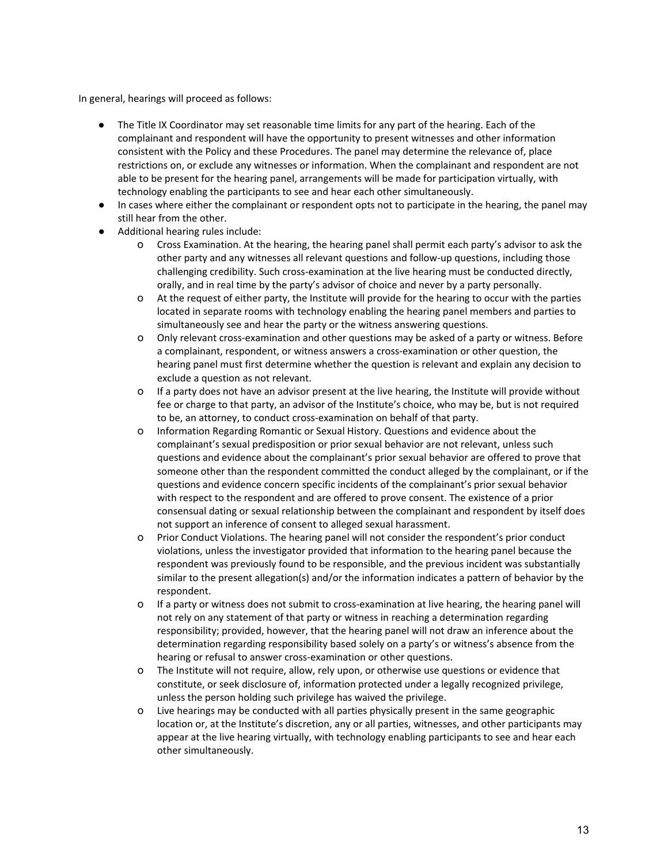In general, hearings will proceed as follows:

- The Title IX Coordinator may set reasonable time limits for any part of the hearing. Each of the complainant and respondent will have the opportunity to present witnesses and other information consistent with the Policy and these Procedures. The panel may determine the relevance of, place restrictions on, or exclude any witnesses or information. When the complainant and respondent are not able to be present for the hearing panel, arrangements will be made for participation virtually, with technology enabling the participants to see and hear each other simultaneously.
- In cases where either the complainant or respondent opts not to participate in the hearing, the panel may still hear from the other.
- Additional hearing rules include:
	- o Cross Examination. At the hearing, the hearing panel shall permit each party's advisor to ask the other party and any witnesses all relevant questions and follow-up questions, including those challenging credibility. Such cross-examination at the live hearing must be conducted directly, orally, and in real time by the party's advisor of choice and never by a party personally.
	- o At the request of either party, the Institute will provide for the hearing to occur with the parties located in separate rooms with technology enabling the hearing panel members and parties to simultaneously see and hear the party or the witness answering questions.
	- o Only relevant cross-examination and other questions may be asked of a party or witness. Before a complainant, respondent, or witness answers a cross-examination or other question, the hearing panel must first determine whether the question is relevant and explain any decision to exclude a question as not relevant.
	- o If a party does not have an advisor present at the live hearing, the Institute will provide without fee or charge to that party, an advisor of the Institute's choice, who may be, but is not required to be, an attorney, to conduct cross-examination on behalf of that party.
	- o Information Regarding Romantic or Sexual History. Questions and evidence about the complainant's sexual predisposition or prior sexual behavior are not relevant, unless such questions and evidence about the complainant's prior sexual behavior are offered to prove that someone other than the respondent committed the conduct alleged by the complainant, or if the questions and evidence concern specific incidents of the complainant's prior sexual behavior with respect to the respondent and are offered to prove consent. The existence of a prior consensual dating or sexual relationship between the complainant and respondent by itself does not support an inference of consent to alleged sexual harassment.
	- o Prior Conduct Violations. The hearing panel will not consider the respondent's prior conduct violations, unless the investigator provided that information to the hearing panel because the respondent was previously found to be responsible, and the previous incident was substantially similar to the present allegation(s) and/or the information indicates a pattern of behavior by the respondent.
	- o If a party or witness does not submit to cross-examination at live hearing, the hearing panel will not rely on any statement of that party or witness in reaching a determination regarding responsibility; provided, however, that the hearing panel will not draw an inference about the determination regarding responsibility based solely on a party's or witness's absence from the hearing or refusal to answer cross-examination or other questions.
	- o The Institute will not require, allow, rely upon, or otherwise use questions or evidence that constitute, or seek disclosure of, information protected under a legally recognized privilege, unless the person holding such privilege has waived the privilege.
	- o Live hearings may be conducted with all parties physically present in the same geographic location or, at the Institute's discretion, any or all parties, witnesses, and other participants may appear at the live hearing virtually, with technology enabling participants to see and hear each other simultaneously.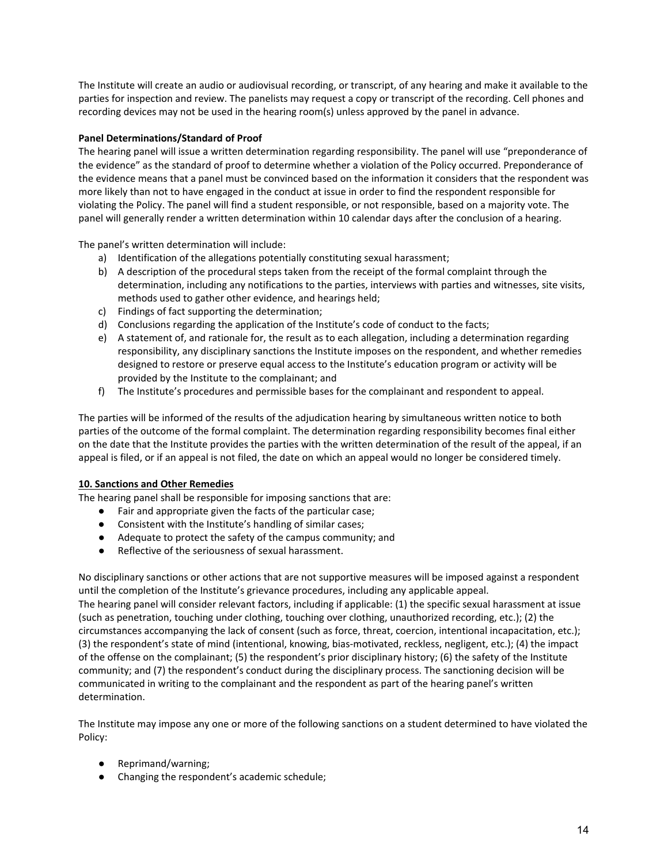The Institute will create an audio or audiovisual recording, or transcript, of any hearing and make it available to the parties for inspection and review. The panelists may request a copy or transcript of the recording. Cell phones and recording devices may not be used in the hearing room(s) unless approved by the panel in advance.

# <span id="page-15-0"></span>**Panel Determinations/Standard of Proof**

The hearing panel will issue a written determination regarding responsibility. The panel will use "preponderance of the evidence" as the standard of proof to determine whether a violation of the Policy occurred. Preponderance of the evidence means that a panel must be convinced based on the information it considers that the respondent was more likely than not to have engaged in the conduct at issue in order to find the respondent responsible for violating the Policy. The panel will find a student responsible, or not responsible, based on a majority vote. The panel will generally render a written determination within 10 calendar days after the conclusion of a hearing.

The panel's written determination will include:

- a) Identification of the allegations potentially constituting sexual harassment;
- b) A description of the procedural steps taken from the receipt of the formal complaint through the determination, including any notifications to the parties, interviews with parties and witnesses, site visits, methods used to gather other evidence, and hearings held;
- c) Findings of fact supporting the determination;
- d) Conclusions regarding the application of the Institute's code of conduct to the facts;
- e) A statement of, and rationale for, the result as to each allegation, including a determination regarding responsibility, any disciplinary sanctions the Institute imposes on the respondent, and whether remedies designed to restore or preserve equal access to the Institute's education program or activity will be provided by the Institute to the complainant; and
- f) The Institute's procedures and permissible bases for the complainant and respondent to appeal.

The parties will be informed of the results of the adjudication hearing by simultaneous written notice to both parties of the outcome of the formal complaint. The determination regarding responsibility becomes final either on the date that the Institute provides the parties with the written determination of the result of the appeal, if an appeal is filed, or if an appeal is not filed, the date on which an appeal would no longer be considered timely.

## <span id="page-15-1"></span>**10. Sanctions and Other Remedies**

The hearing panel shall be responsible for imposing sanctions that are:

- Fair and appropriate given the facts of the particular case;
- Consistent with the Institute's handling of similar cases;
- Adequate to protect the safety of the campus community; and
- Reflective of the seriousness of sexual harassment.

No disciplinary sanctions or other actions that are not supportive measures will be imposed against a respondent until the completion of the Institute's grievance procedures, including any applicable appeal. The hearing panel will consider relevant factors, including if applicable: (1) the specific sexual harassment at issue (such as penetration, touching under clothing, touching over clothing, unauthorized recording, etc.); (2) the circumstances accompanying the lack of consent (such as force, threat, coercion, intentional incapacitation, etc.); (3) the respondent's state of mind (intentional, knowing, bias-motivated, reckless, negligent, etc.); (4) the impact of the offense on the complainant; (5) the respondent's prior disciplinary history; (6) the safety of the Institute community; and (7) the respondent's conduct during the disciplinary process. The sanctioning decision will be communicated in writing to the complainant and the respondent as part of the hearing panel's written determination.

The Institute may impose any one or more of the following sanctions on a student determined to have violated the Policy:

- Reprimand/warning;
- Changing the respondent's academic schedule;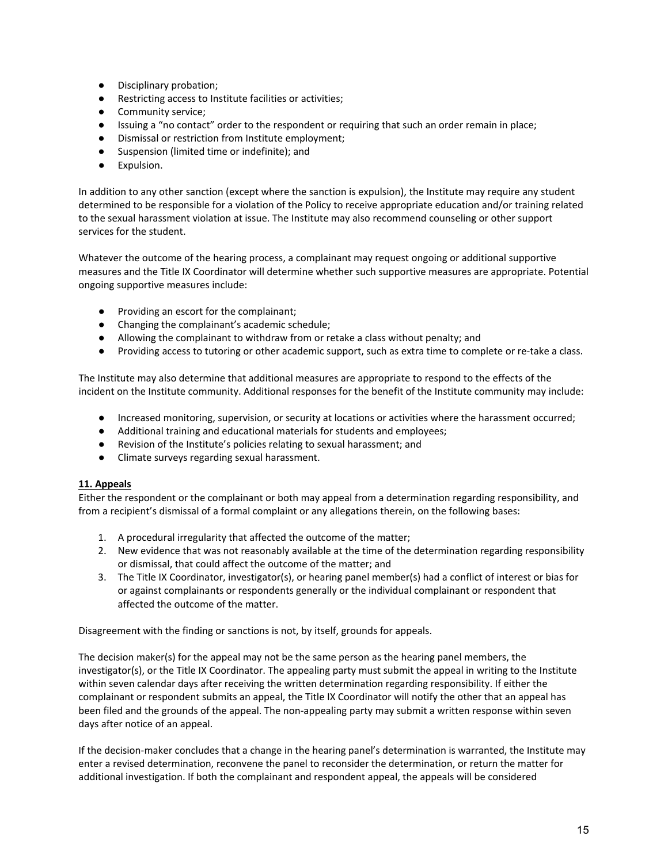- Disciplinary probation;
- Restricting access to Institute facilities or activities;
- Community service;
- Issuing a "no contact" order to the respondent or requiring that such an order remain in place;
- Dismissal or restriction from Institute employment;
- Suspension (limited time or indefinite); and
- Expulsion.

In addition to any other sanction (except where the sanction is expulsion), the Institute may require any student determined to be responsible for a violation of the Policy to receive appropriate education and/or training related to the sexual harassment violation at issue. The Institute may also recommend counseling or other support services for the student.

Whatever the outcome of the hearing process, a complainant may request ongoing or additional supportive measures and the Title IX Coordinator will determine whether such supportive measures are appropriate. Potential ongoing supportive measures include:

- Providing an escort for the complainant;
- Changing the complainant's academic schedule;
- Allowing the complainant to withdraw from or retake a class without penalty; and
- Providing access to tutoring or other academic support, such as extra time to complete or re-take a class.

The Institute may also determine that additional measures are appropriate to respond to the effects of the incident on the Institute community. Additional responses for the benefit of the Institute community may include:

- Increased monitoring, supervision, or security at locations or activities where the harassment occurred;
- Additional training and educational materials for students and employees;
- Revision of the Institute's policies relating to sexual harassment; and
- Climate surveys regarding sexual harassment.

## <span id="page-16-0"></span>**11. Appeals**

Either the respondent or the complainant or both may appeal from a determination regarding responsibility, and from a recipient's dismissal of a formal complaint or any allegations therein, on the following bases:

- 1. A procedural irregularity that affected the outcome of the matter;
- 2. New evidence that was not reasonably available at the time of the determination regarding responsibility or dismissal, that could affect the outcome of the matter; and
- 3. The Title IX Coordinator, investigator(s), or hearing panel member(s) had a conflict of interest or bias for or against complainants or respondents generally or the individual complainant or respondent that affected the outcome of the matter.

Disagreement with the finding or sanctions is not, by itself, grounds for appeals.

The decision maker(s) for the appeal may not be the same person as the hearing panel members, the investigator(s), or the Title IX Coordinator. The appealing party must submit the appeal in writing to the Institute within seven calendar days after receiving the written determination regarding responsibility. If either the complainant or respondent submits an appeal, the Title IX Coordinator will notify the other that an appeal has been filed and the grounds of the appeal. The non-appealing party may submit a written response within seven days after notice of an appeal.

If the decision-maker concludes that a change in the hearing panel's determination is warranted, the Institute may enter a revised determination, reconvene the panel to reconsider the determination, or return the matter for additional investigation. If both the complainant and respondent appeal, the appeals will be considered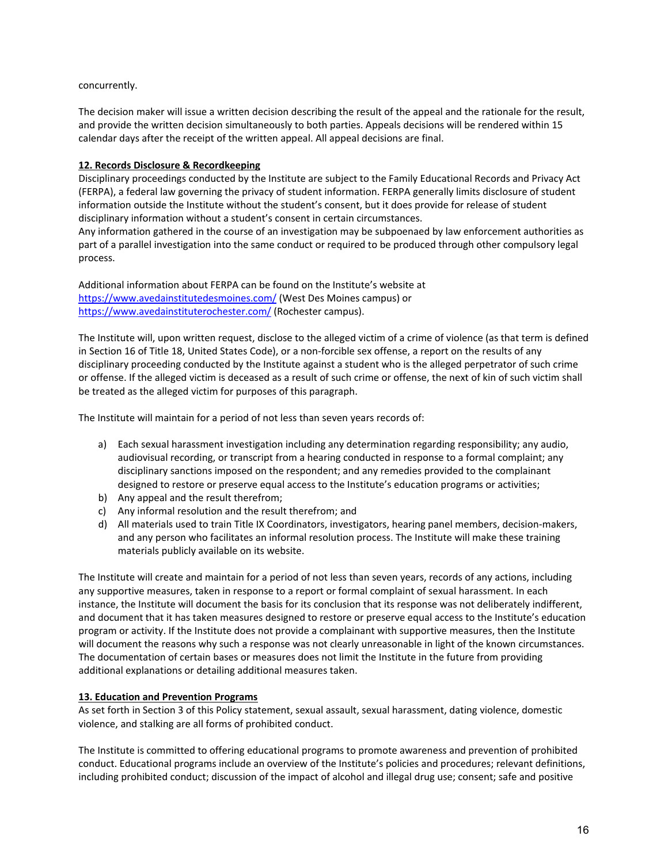## concurrently.

The decision maker will issue a written decision describing the result of the appeal and the rationale for the result, and provide the written decision simultaneously to both parties. Appeals decisions will be rendered within 15 calendar days after the receipt of the written appeal. All appeal decisions are final.

# <span id="page-17-0"></span>**12. Records Disclosure & Recordkeeping**

Disciplinary proceedings conducted by the Institute are subject to the Family Educational Records and Privacy Act (FERPA), a federal law governing the privacy of student information. FERPA generally limits disclosure of student information outside the Institute without the student's consent, but it does provide for release of student disciplinary information without a student's consent in certain circumstances.

Any information gathered in the course of an investigation may be subpoenaed by law enforcement authorities as part of a parallel investigation into the same conduct or required to be produced through other compulsory legal process.

Additional information about FERPA can be found on the Institute's website at <https://www.avedainstitutedesmoines.com/> (West Des Moines campus) or <https://www.avedainstituterochester.com/> (Rochester campus).

The Institute will, upon written request, disclose to the alleged victim of a crime of violence (as that term is defined in Section 16 of Title 18, United States Code), or a non-forcible sex offense, a report on the results of any disciplinary proceeding conducted by the Institute against a student who is the alleged perpetrator of such crime or offense. If the alleged victim is deceased as a result of such crime or offense, the next of kin of such victim shall be treated as the alleged victim for purposes of this paragraph.

The Institute will maintain for a period of not less than seven years records of:

- a) Each sexual harassment investigation including any determination regarding responsibility; any audio, audiovisual recording, or transcript from a hearing conducted in response to a formal complaint; any disciplinary sanctions imposed on the respondent; and any remedies provided to the complainant designed to restore or preserve equal access to the Institute's education programs or activities;
- b) Any appeal and the result therefrom;
- c) Any informal resolution and the result therefrom; and
- d) All materials used to train Title IX Coordinators, investigators, hearing panel members, decision-makers, and any person who facilitates an informal resolution process. The Institute will make these training materials publicly available on its website.

The Institute will create and maintain for a period of not less than seven years, records of any actions, including any supportive measures, taken in response to a report or formal complaint of sexual harassment. In each instance, the Institute will document the basis for its conclusion that its response was not deliberately indifferent, and document that it has taken measures designed to restore or preserve equal access to the Institute's education program or activity. If the Institute does not provide a complainant with supportive measures, then the Institute will document the reasons why such a response was not clearly unreasonable in light of the known circumstances. The documentation of certain bases or measures does not limit the Institute in the future from providing additional explanations or detailing additional measures taken.

## <span id="page-17-1"></span>**13. Education and Prevention Programs**

As set forth in Section 3 of this Policy statement, sexual assault, sexual harassment, dating violence, domestic violence, and stalking are all forms of prohibited conduct.

The Institute is committed to offering educational programs to promote awareness and prevention of prohibited conduct. Educational programs include an overview of the Institute's policies and procedures; relevant definitions, including prohibited conduct; discussion of the impact of alcohol and illegal drug use; consent; safe and positive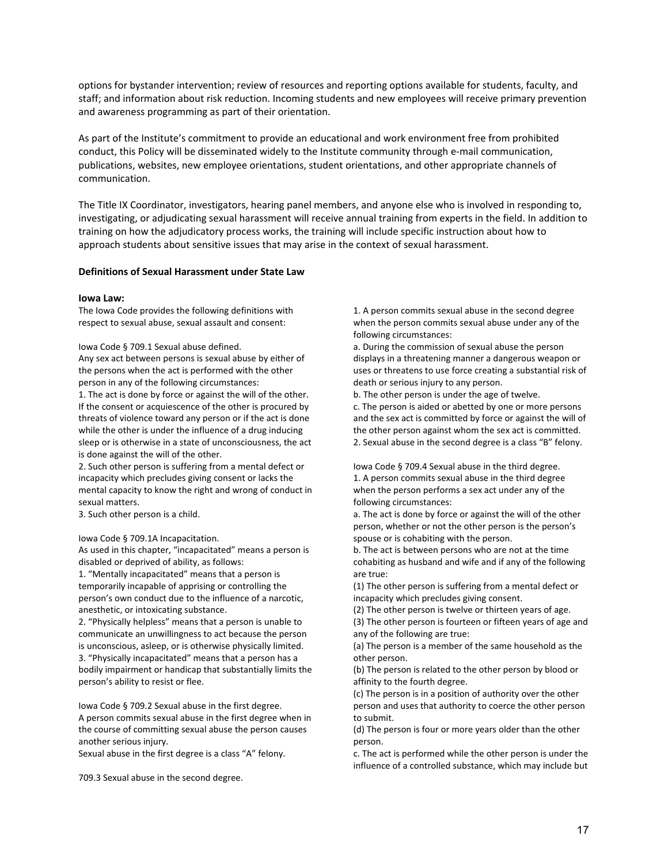options for bystander intervention; review of resources and reporting options available for students, faculty, and staff; and information about risk reduction. Incoming students and new employees will receive primary prevention and awareness programming as part of their orientation.

As part of the Institute's commitment to provide an educational and work environment free from prohibited conduct, this Policy will be disseminated widely to the Institute community through e-mail communication, publications, websites, new employee orientations, student orientations, and other appropriate channels of communication.

The Title IX Coordinator, investigators, hearing panel members, and anyone else who is involved in responding to, investigating, or adjudicating sexual harassment will receive annual training from experts in the field. In addition to training on how the adjudicatory process works, the training will include specific instruction about how to approach students about sensitive issues that may arise in the context of sexual harassment.

#### <span id="page-18-0"></span>**Definitions of Sexual Harassment under State Law**

#### <span id="page-18-1"></span>**Iowa Law:**

The Iowa Code provides the following definitions with respect to sexual abuse, sexual assault and consent:

Iowa Code § 709.1 Sexual abuse defined.

Any sex act between persons is sexual abuse by either of the persons when the act is performed with the other person in any of the following circumstances:

1. The act is done by force or against the will of the other. If the consent or acquiescence of the other is procured by threats of violence toward any person or if the act is done while the other is under the influence of a drug inducing sleep or is otherwise in a state of unconsciousness, the act is done against the will of the other.

2. Such other person is suffering from a mental defect or incapacity which precludes giving consent or lacks the mental capacity to know the right and wrong of conduct in sexual matters.

3. Such other person is a child.

Iowa Code § 709.1A Incapacitation.

As used in this chapter, "incapacitated" means a person is disabled or deprived of ability, as follows:

1. "Mentally incapacitated" means that a person is temporarily incapable of apprising or controlling the person's own conduct due to the influence of a narcotic, anesthetic, or intoxicating substance.

2. "Physically helpless" means that a person is unable to communicate an unwillingness to act because the person is unconscious, asleep, or is otherwise physically limited. 3. "Physically incapacitated" means that a person has a bodily impairment or handicap that substantially limits the person's ability to resist or flee.

Iowa Code § 709.2 Sexual abuse in the first degree. A person commits sexual abuse in the first degree when in the course of committing sexual abuse the person causes another serious injury.

Sexual abuse in the first degree is a class "A" felony.

709.3 Sexual abuse in the second degree.

1. A person commits sexual abuse in the second degree when the person commits sexual abuse under any of the following circumstances:

a. During the commission of sexual abuse the person displays in a threatening manner a dangerous weapon or uses or threatens to use force creating a substantial risk of death or serious injury to any person.

b. The other person is under the age of twelve. c. The person is aided or abetted by one or more persons and the sex act is committed by force or against the will of

the other person against whom the sex act is committed. 2. Sexual abuse in the second degree is a class "B" felony.

Iowa Code § 709.4 Sexual abuse in the third degree. 1. A person commits sexual abuse in the third degree when the person performs a sex act under any of the following circumstances:

a. The act is done by force or against the will of the other person, whether or not the other person is the person's spouse or is cohabiting with the person.

b. The act is between persons who are not at the time cohabiting as husband and wife and if any of the following are true:

(1) The other person is suffering from a mental defect or incapacity which precludes giving consent.

(2) The other person is twelve or thirteen years of age.

(3) The other person is fourteen or fifteen years of age and any of the following are true:

(a) The person is a member of the same household as the other person.

(b) The person is related to the other person by blood or affinity to the fourth degree.

(c) The person is in a position of authority over the other person and uses that authority to coerce the other person to submit.

(d) The person is four or more years older than the other person.

c. The act is performed while the other person is under the influence of a controlled substance, which may include but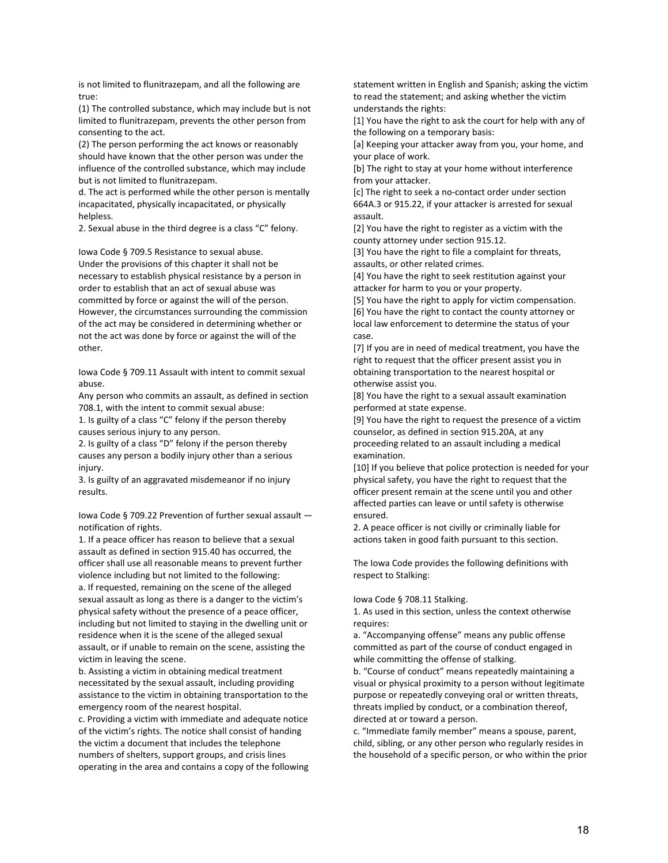is not limited to flunitrazepam, and all the following are true:

(1) The controlled substance, which may include but is not limited to flunitrazepam, prevents the other person from consenting to the act.

(2) The person performing the act knows or reasonably should have known that the other person was under the influence of the controlled substance, which may include but is not limited to flunitrazepam.

d. The act is performed while the other person is mentally incapacitated, physically incapacitated, or physically helpless.

2. Sexual abuse in the third degree is a class "C" felony.

Iowa Code § 709.5 Resistance to sexual abuse. Under the provisions of this chapter it shall not be necessary to establish physical resistance by a person in order to establish that an act of sexual abuse was committed by force or against the will of the person. However, the circumstances surrounding the commission of the act may be considered in determining whether or not the act was done by force or against the will of the other.

Iowa Code § 709.11 Assault with intent to commit sexual abuse.

Any person who commits an assault, as defined in section 708.1, with the intent to commit sexual abuse:

1. Is guilty of a class "C" felony if the person thereby causes serious injury to any person.

2. Is guilty of a class "D" felony if the person thereby causes any person a bodily injury other than a serious injury.

3. Is guilty of an aggravated misdemeanor if no injury results.

Iowa Code § 709.22 Prevention of further sexual assault notification of rights.

1. If a peace officer has reason to believe that a sexual assault as defined in section 915.40 has occurred, the officer shall use all reasonable means to prevent further violence including but not limited to the following: a. If requested, remaining on the scene of the alleged sexual assault as long as there is a danger to the victim's physical safety without the presence of a peace officer, including but not limited to staying in the dwelling unit or residence when it is the scene of the alleged sexual assault, or if unable to remain on the scene, assisting the victim in leaving the scene.

b. Assisting a victim in obtaining medical treatment necessitated by the sexual assault, including providing assistance to the victim in obtaining transportation to the emergency room of the nearest hospital.

c. Providing a victim with immediate and adequate notice of the victim's rights. The notice shall consist of handing the victim a document that includes the telephone numbers of shelters, support groups, and crisis lines operating in the area and contains a copy of the following statement written in English and Spanish; asking the victim to read the statement; and asking whether the victim understands the rights:

[1] You have the right to ask the court for help with any of the following on a temporary basis:

[a] Keeping your attacker away from you, your home, and your place of work.

[b] The right to stay at your home without interference from your attacker.

[c] The right to seek a no-contact order under section 664A.3 or 915.22, if your attacker is arrested for sexual assault.

[2] You have the right to register as a victim with the county attorney under section 915.12.

[3] You have the right to file a complaint for threats, assaults, or other related crimes.

[4] You have the right to seek restitution against your attacker for harm to you or your property.

[5] You have the right to apply for victim compensation. [6] You have the right to contact the county attorney or local law enforcement to determine the status of your case.

[7] If you are in need of medical treatment, you have the right to request that the officer present assist you in obtaining transportation to the nearest hospital or otherwise assist you.

[8] You have the right to a sexual assault examination performed at state expense.

[9] You have the right to request the presence of a victim counselor, as defined in section 915.20A, at any proceeding related to an assault including a medical examination.

[10] If you believe that police protection is needed for your physical safety, you have the right to request that the officer present remain at the scene until you and other affected parties can leave or until safety is otherwise ensured.

2. A peace officer is not civilly or criminally liable for actions taken in good faith pursuant to this section.

The Iowa Code provides the following definitions with respect to Stalking:

Iowa Code § 708.11 Stalking.

1. As used in this section, unless the context otherwise requires:

a. "Accompanying offense" means any public offense committed as part of the course of conduct engaged in while committing the offense of stalking.

b. "Course of conduct" means repeatedly maintaining a visual or physical proximity to a person without legitimate purpose or repeatedly conveying oral or written threats, threats implied by conduct, or a combination thereof, directed at or toward a person.

c. "Immediate family member" means a spouse, parent, child, sibling, or any other person who regularly resides in the household of a specific person, or who within the prior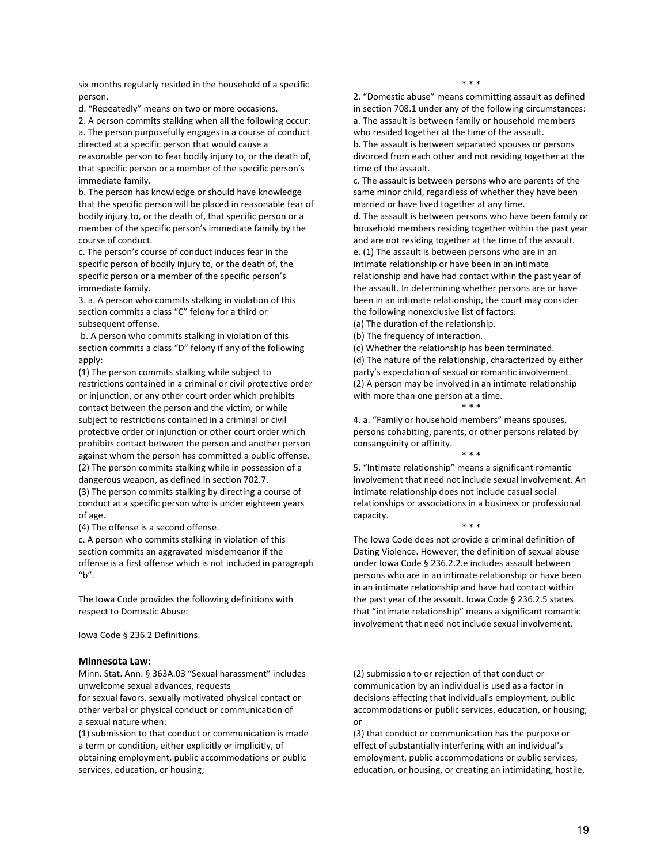six months regularly resided in the household of a specific person.

d. "Repeatedly" means on two or more occasions.

2. A person commits stalking when all the following occur: a. The person purposefully engages in a course of conduct directed at a specific person that would cause a reasonable person to fear bodily injury to, or the death of, that specific person or a member of the specific person's immediate family.

b. The person has knowledge or should have knowledge that the specific person will be placed in reasonable fear of bodily injury to, or the death of, that specific person or a member of the specific person's immediate family by the course of conduct.

c. The person's course of conduct induces fear in the specific person of bodily injury to, or the death of, the specific person or a member of the specific person's immediate family.

3. a. A person who commits stalking in violation of this section commits a class "C" felony for a third or subsequent offense.

b. A person who commits stalking in violation of this section commits a class "D" felony if any of the following apply:

(1) The person commits stalking while subject to restrictions contained in a criminal or civil protective order or injunction, or any other court order which prohibits contact between the person and the victim, or while subject to restrictions contained in a criminal or civil protective order or injunction or other court order which prohibits contact between the person and another person against whom the person has committed a public offense. (2) The person commits stalking while in possession of a dangerous weapon, as defined in section 702.7.

(3) The person commits stalking by directing a course of conduct at a specific person who is under eighteen years of age.

(4) The offense is a second offense.

c. A person who commits stalking in violation of this section commits an aggravated misdemeanor if the offense is a first offense which is not included in paragraph "b".

The Iowa Code provides the following definitions with respect to Domestic Abuse:

Iowa Code § 236.2 Definitions.

#### <span id="page-20-0"></span>**Minnesota Law:**

Minn. Stat. Ann. § 363A.03 "Sexual harassment" includes unwelcome sexual advances, requests

for sexual favors, sexually motivated physical contact or other verbal or physical conduct or communication of a sexual nature when:

(1) submission to that conduct or communication is made a term or condition, either explicitly or implicitly, of obtaining employment, public accommodations or public services, education, or housing;

\* \* \*

2. "Domestic abuse" means committing assault as defined in section 708.1 under any of the following circumstances: a. The assault is between family or household members who resided together at the time of the assault. b. The assault is between separated spouses or persons divorced from each other and not residing together at the time of the assault.

c. The assault is between persons who are parents of the same minor child, regardless of whether they have been married or have lived together at any time.

d. The assault is between persons who have been family or household members residing together within the past year and are not residing together at the time of the assault. e. (1) The assault is between persons who are in an

intimate relationship or have been in an intimate relationship and have had contact within the past year of the assault. In determining whether persons are or have been in an intimate relationship, the court may consider the following nonexclusive list of factors:

(a) The duration of the relationship.

(b) The frequency of interaction.

(c) Whether the relationship has been terminated. (d) The nature of the relationship, characterized by either party's expectation of sexual or romantic involvement. (2) A person may be involved in an intimate relationship with more than one person at a time.

\* \* \*

4. a. "Family or household members" means spouses, persons cohabiting, parents, or other persons related by consanguinity or affinity. \* \* \*

5. "Intimate relationship" means a significant romantic involvement that need not include sexual involvement. An intimate relationship does not include casual social relationships or associations in a business or professional capacity. \* \* \*

The Iowa Code does not provide a criminal definition of Dating Violence. However, the definition of sexual abuse under Iowa Code § 236.2.2.e includes assault between persons who are in an intimate relationship or have been in an intimate relationship and have had contact within the past year of the assault. Iowa Code § 236.2.5 states that "intimate relationship" means a significant romantic involvement that need not include sexual involvement.

(2) submission to or rejection of that conduct or communication by an individual is used as a factor in decisions affecting that individual's employment, public accommodations or public services, education, or housing; or

(3) that conduct or communication has the purpose or effect of substantially interfering with an individual's employment, public accommodations or public services, education, or housing, or creating an intimidating, hostile,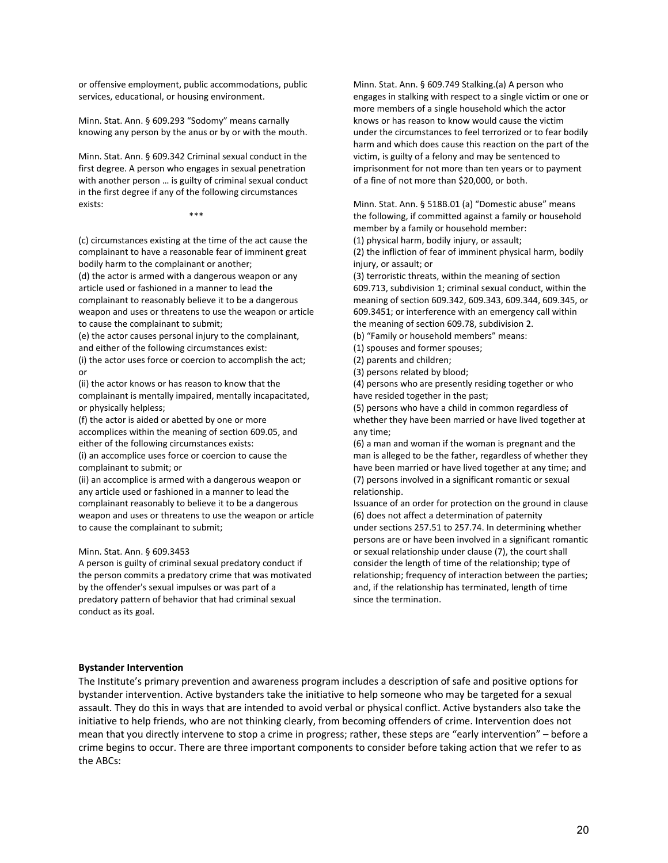or offensive employment, public accommodations, public services, educational, or housing environment.

Minn. Stat. Ann. § 609.293 "Sodomy" means carnally knowing any person by the anus or by or with the mouth.

Minn. Stat. Ann. § 609.342 Criminal sexual conduct in the first degree. A person who engages in sexual penetration with another person … is guilty of criminal sexual conduct in the first degree if any of the following circumstances exists:

\*\*\*

(c) circumstances existing at the time of the act cause the complainant to have a reasonable fear of imminent great bodily harm to the complainant or another;

(d) the actor is armed with a dangerous weapon or any article used or fashioned in a manner to lead the complainant to reasonably believe it to be a dangerous weapon and uses or threatens to use the weapon or article to cause the complainant to submit;

(e) the actor causes personal injury to the complainant, and either of the following circumstances exist:

(i) the actor uses force or coercion to accomplish the act; or

(ii) the actor knows or has reason to know that the complainant is mentally impaired, mentally incapacitated, or physically helpless;

(f) the actor is aided or abetted by one or more accomplices within the meaning of section 609.05, and either of the following circumstances exists:

(i) an accomplice uses force or coercion to cause the complainant to submit; or

(ii) an accomplice is armed with a dangerous weapon or any article used or fashioned in a manner to lead the complainant reasonably to believe it to be a dangerous weapon and uses or threatens to use the weapon or article to cause the complainant to submit;

#### Minn. Stat. Ann. § 609.3453

A person is guilty of criminal sexual predatory conduct if the person commits a predatory crime that was motivated by the offender's sexual impulses or was part of a predatory pattern of behavior that had criminal sexual conduct as its goal.

Minn. Stat. Ann. § 609.749 Stalking.(a) A person who engages in stalking with respect to a single victim or one or more members of a single household which the actor knows or has reason to know would cause the victim under the circumstances to feel terrorized or to fear bodily harm and which does cause this reaction on the part of the victim, is guilty of a felony and may be sentenced to imprisonment for not more than ten years or to payment of a fine of not more than \$20,000, or both.

Minn. Stat. Ann. § 518B.01 (a) "Domestic abuse" means the following, if committed against a family or household member by a family or household member:

(1) physical harm, bodily injury, or assault;

(2) the infliction of fear of imminent physical harm, bodily injury, or assault; or

(3) terroristic threats, within the meaning of section 609.713, subdivision 1; criminal sexual conduct, within the meaning of section 609.342, 609.343, 609.344, 609.345, or 609.3451; or interference with an emergency call within the meaning of section 609.78, subdivision 2.

(b) "Family or household members" means:

(1) spouses and former spouses;

(2) parents and children;

(3) persons related by blood;

(4) persons who are presently residing together or who have resided together in the past;

(5) persons who have a child in common regardless of whether they have been married or have lived together at any time;

(6) a man and woman if the woman is pregnant and the man is alleged to be the father, regardless of whether they have been married or have lived together at any time; and (7) persons involved in a significant romantic or sexual relationship.

Issuance of an order for protection on the ground in clause (6) does not affect a determination of paternity under [sections 257.51](https://1.next.westlaw.com/Link/Document/FullText?findType=L&pubNum=1000044&cite=MNSTS257.51&originatingDoc=N0F658AF0F66A11E9BC718A826612E73A&refType=LQ&originationContext=document&transitionType=DocumentItem&contextData=(sc.Search)) to [257.74.](https://1.next.westlaw.com/Link/Document/FullText?findType=L&pubNum=1000044&cite=MNSTS257.74&originatingDoc=N0F658AF0F66A11E9BC718A826612E73A&refType=LQ&originationContext=document&transitionType=DocumentItem&contextData=(sc.Search)) In determining whether persons are or have been involved in a significant romantic or sexual relationship under clause (7), the court shall consider the length of time of the relationship; type of relationship; frequency of interaction between the parties; and, if the relationship has terminated, length of time since the termination.

#### <span id="page-21-0"></span>**Bystander Intervention**

The Institute's primary prevention and awareness program includes a description of safe and positive options for bystander intervention. Active bystanders take the initiative to help someone who may be targeted for a sexual assault. They do this in ways that are intended to avoid verbal or physical conflict. Active bystanders also take the initiative to help friends, who are not thinking clearly, from becoming offenders of crime. Intervention does not mean that you directly intervene to stop a crime in progress; rather, these steps are "early intervention" – before a crime begins to occur. There are three important components to consider before taking action that we refer to as the ABCs: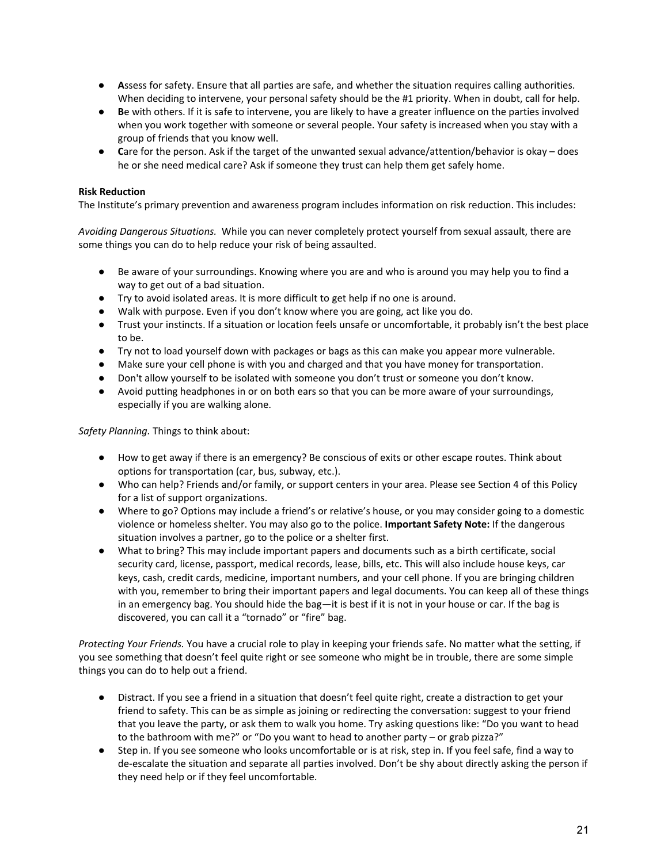- **A**ssess for safety. Ensure that all parties are safe, and whether the situation requires calling authorities. When deciding to intervene, your personal safety should be the #1 priority. When in doubt, call for help.
- **B**e with others. If it is safe to intervene, you are likely to have a greater influence on the parties involved when you work together with someone or several people. Your safety is increased when you stay with a group of friends that you know well.
- **Care for the person.** Ask if the target of the unwanted sexual advance/attention/behavior is okay does he or she need medical care? Ask if someone they trust can help them get safely home.

# <span id="page-22-0"></span>**Risk Reduction**

The Institute's primary prevention and awareness program includes information on risk reduction. This includes:

*Avoiding Dangerous Situations.* While you can never completely protect yourself from sexual assault, there are some things you can do to help reduce your risk of being assaulted.

- Be aware of your surroundings. Knowing where you are and who is around you may help you to find a way to get out of a bad situation.
- Try to avoid isolated areas. It is more difficult to get help if no one is around.
- Walk with purpose. Even if you don't know where you are going, act like you do.
- Trust your instincts. If a situation or location feels unsafe or uncomfortable, it probably isn't the best place to be.
- Try not to load yourself down with packages or bags as this can make you appear more vulnerable.
- Make sure your cell phone is with you and charged and that you have money for transportation.
- Don't allow yourself to be isolated with someone you don't trust or someone you don't know.
- Avoid putting headphones in or on both ears so that you can be more aware of your surroundings, especially if you are walking alone.

*Safety Planning.* Things to think about:

- How to get away if there is an emergency? Be conscious of exits or other escape routes. Think about options for transportation (car, bus, subway, etc.).
- Who can help? Friends and/or family, or support centers in your area. Please see Section 4 of this Policy for a list of support organizations.
- Where to go? Options may include a friend's or relative's house, or you may consider going to a domestic violence or homeless shelter. You may also go to the police. **Important Safety Note:** If the dangerous situation involves a partner, go to the police or a shelter first.
- What to bring? This may include important papers and documents such as a birth certificate, social security card, license, passport, medical records, lease, bills, etc. This will also include house keys, car keys, cash, credit cards, medicine, important numbers, and your cell phone. If you are bringing children with you, remember to bring their important papers and legal documents. You can keep all of these things in an emergency bag. You should hide the bag—it is best if it is not in your house or car. If the bag is discovered, you can call it a "tornado" or "fire" bag.

*Protecting Your Friends.* You have a crucial role to play in keeping your friends safe. No matter what the setting, if you see something that doesn't feel quite right or see someone who might be in trouble, there are some simple things you can do to help out a friend.

- Distract. If you see a friend in a situation that doesn't feel quite right, create a distraction to get your friend to safety. This can be as simple as joining or redirecting the conversation: suggest to your friend that you leave the party, or ask them to walk you home. Try asking questions like: "Do you want to head to the bathroom with me?" or "Do you want to head to another party – or grab pizza?"
- Step in. If you see someone who looks uncomfortable or is at risk, step in. If you feel safe, find a way to de-escalate the situation and separate all parties involved. Don't be shy about directly asking the person if they need help or if they feel uncomfortable.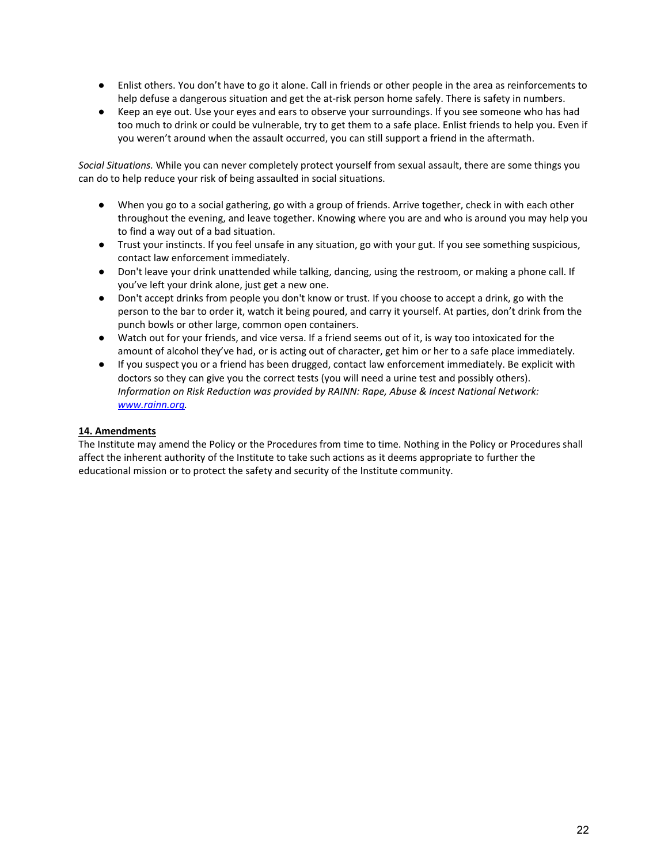- Enlist others. You don't have to go it alone. Call in friends or other people in the area as reinforcements to help defuse a dangerous situation and get the at-risk person home safely. There is safety in numbers.
- Keep an eye out. Use your eyes and ears to observe your surroundings. If you see someone who has had too much to drink or could be vulnerable, try to get them to a safe place. Enlist friends to help you. Even if you weren't around when the assault occurred, you can still support a friend in the aftermath.

*Social Situations.* While you can never completely protect yourself from sexual assault, there are some things you can do to help reduce your risk of being assaulted in social situations.

- When you go to a social gathering, go with a group of friends. Arrive together, check in with each other throughout the evening, and leave together. Knowing where you are and who is around you may help you to find a way out of a bad situation.
- Trust your instincts. If you feel unsafe in any situation, go with your gut. If you see something suspicious, contact law enforcement immediately.
- Don't leave your drink unattended while talking, dancing, using the restroom, or making a phone call. If you've left your drink alone, just get a new one.
- Don't accept drinks from people you don't know or trust. If you choose to accept a drink, go with the person to the bar to order it, watch it being poured, and carry it yourself. At parties, don't drink from the punch bowls or other large, common open containers.
- Watch out for your friends, and vice versa. If a friend seems out of it, is way too intoxicated for the amount of alcohol they've had, or is acting out of character, get him or her to a safe place immediately.
- If you suspect you or a friend has been drugged, contact law enforcement immediately. Be explicit with doctors so they can give you the correct tests (you will need a urine test and possibly others). *Information on Risk Reduction was provided by RAINN: Rape, Abuse & Incest National Network: [www.rainn.org.](http://www.rainn.org/)*

# <span id="page-23-0"></span>**14. Amendments**

The Institute may amend the Policy or the Procedures from time to time. Nothing in the Policy or Procedures shall affect the inherent authority of the Institute to take such actions as it deems appropriate to further the educational mission or to protect the safety and security of the Institute community.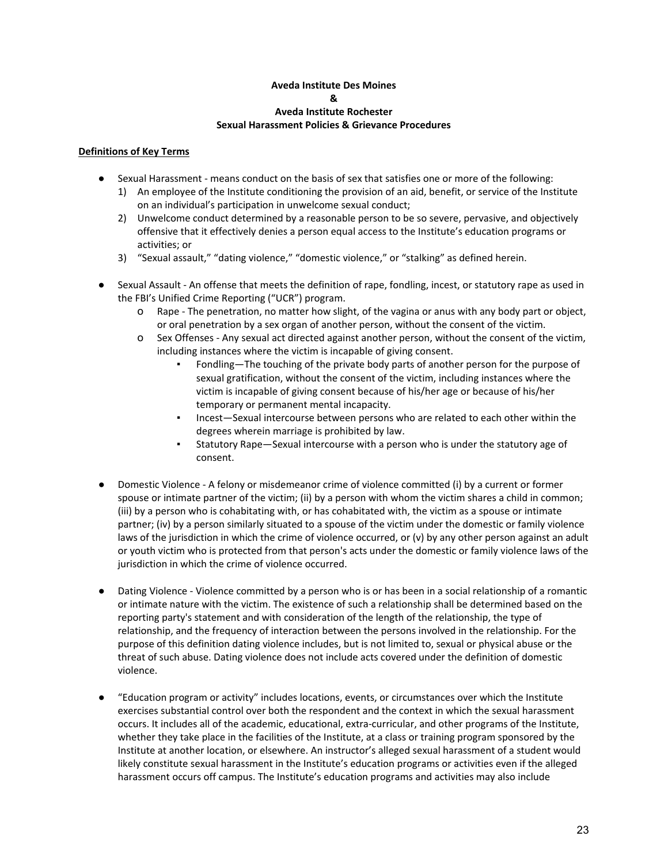#### **Aveda Institute Des Moines & Aveda Institute Rochester Sexual Harassment Policies & Grievance Procedures**

# <span id="page-24-0"></span>**Definitions of Key Terms**

- Sexual Harassment means conduct on the basis of sex that satisfies one or more of the following:
	- 1) An employee of the Institute conditioning the provision of an aid, benefit, or service of the Institute on an individual's participation in unwelcome sexual conduct;
	- 2) Unwelcome conduct determined by a reasonable person to be so severe, pervasive, and objectively offensive that it effectively denies a person equal access to the Institute's education programs or activities; or
	- 3) "Sexual assault," "dating violence," "domestic violence," or "stalking" as defined herein.
- Sexual Assault An offense that meets the definition of rape, fondling, incest, or statutory rape as used in the FBI's Unified Crime Reporting ("UCR") program.
	- o Rape The penetration, no matter how slight, of the vagina or anus with any body part or object, or oral penetration by a sex organ of another person, without the consent of the victim.
	- o Sex Offenses Any sexual act directed against another person, without the consent of the victim, including instances where the victim is incapable of giving consent.
		- Fondling—The touching of the private body parts of another person for the purpose of sexual gratification, without the consent of the victim, including instances where the victim is incapable of giving consent because of his/her age or because of his/her temporary or permanent mental incapacity.
		- Incest-Sexual intercourse between persons who are related to each other within the degrees wherein marriage is prohibited by law.
		- Statutory Rape-Sexual intercourse with a person who is under the statutory age of consent.
- Domestic Violence A felony or misdemeanor crime of violence committed (i) by a current or former spouse or intimate partner of the victim; (ii) by a person with whom the victim shares a child in common; (iii) by a person who is cohabitating with, or has cohabitated with, the victim as a spouse or intimate partner; (iv) by a person similarly situated to a spouse of the victim under the domestic or family violence laws of the jurisdiction in which the crime of violence occurred, or (v) by any other person against an adult or youth victim who is protected from that person's acts under the domestic or family violence laws of the jurisdiction in which the crime of violence occurred.
- Dating Violence Violence committed by a person who is or has been in a social relationship of a romantic or intimate nature with the victim. The existence of such a relationship shall be determined based on the reporting party's statement and with consideration of the length of the relationship, the type of relationship, and the frequency of interaction between the persons involved in the relationship. For the purpose of this definition dating violence includes, but is not limited to, sexual or physical abuse or the threat of such abuse. Dating violence does not include acts covered under the definition of domestic violence.
- "Education program or activity" includes locations, events, or circumstances over which the Institute exercises substantial control over both the respondent and the context in which the sexual harassment occurs. It includes all of the academic, educational, extra-curricular, and other programs of the Institute, whether they take place in the facilities of the Institute, at a class or training program sponsored by the Institute at another location, or elsewhere. An instructor's alleged sexual harassment of a student would likely constitute sexual harassment in the Institute's education programs or activities even if the alleged harassment occurs off campus. The Institute's education programs and activities may also include